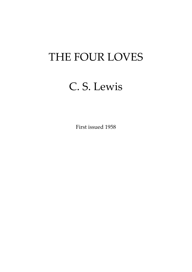# THE FOUR LOVES

## C. S. Lewis

First issued 1958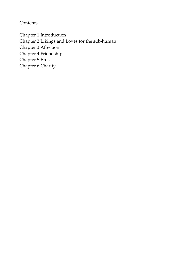**Contents** 

Chapter 1 Introduction Chapter 2 Likings and Loves for the sub-human Chapter 3 Affection Chapter 4 Friendship Chapter 5 Eros Chapter 6 Charity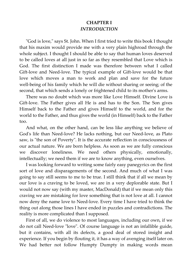### CHAPTER I **INTRODUCTION**

"God is love," says St. John. When I first tried to write this book I thought that his maxim would provide me with a very plain highroad through the whole subject. I thought I should be able to say that human loves deserved to be called loves at all just in so far as they resembled that Love which is God. The first distinction I made was therefore between what I called Gift-love and Need-love. The typical example of Gift-love would be that love which moves a man to work and plan and save for the future well-being of his family which he will die without sharing or seeing; of the second, that which sends a lonely or frightened child to its mother's arms.

There was no doubt which was more like Love Himself. Divine Love is Gift-love. The Father gives all He is and has to the Son. The Son gives Himself back to the Father and gives Himself to the world, and for the world to the Father, and thus gives the world (in Himself) back to the Father too.

And what, on the other hand, can be less like anything we believe of God's life than Need-love? He lacks nothing, but our Need-love, as Plato saw, is "the son of Poverty". It is the accurate reflection in consciousness of our actual nature. We are born helpless. As soon as we are fully conscious we discover loneliness. We need others physically, emotionally, intellectually; we need them if we are to know anything, even ourselves.

I was looking forward to writing some fairly easy panegyrics on the first sort of love and disparagements of the second. And much of what I was going to say still seems to me to be true. I still think that if all we mean by our love is a craving to be loved, we are in a very deplorable state. But I would not now say (with my master, MacDonald) that if we mean only this craving we are mistaking for love something that is not love at all. I cannot now deny the name love to Need-love. Every time I have tried to think the thing out along those lines I have ended in puzzles and contradictions. The reality is more complicated than I supposed.

First of all, we do violence to most languages, including our own, if we do not call Need-love "love". Of course language is not an infallible guide, but it contains, with all its defects, a good deal of stored insight and experience. If you begin by flouting it, it has a way of avenging itself later on. We had better not follow Humpty Dumpty in making words mean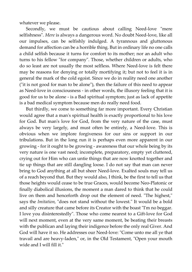whatever we please.

Secondly, we must be cautious about calling Need-love "mere selfishness". Mere is always a dangerous word. No doubt Need-love, like all our impulses, can be selfishly indulged. A tyrannous and gluttonous demand for affection can be a horrible thing. But in ordinary life no one calls a child selfish because it turns for comfort to its mother; nor an adult who turns to his fellow "for company". Those, whether children or adults, who do so least are not usually the most selfless. Where Need-love is felt there may be reasons for denying or totally mortifying it; but not to feel it is in general the mark of the cold egoist. Since we do in reality need one another ("it is not good for man to be alone"), then the failure of this need to appear as Need-love in consciousness - in other words, the illusory feeling that it is good for us to be alone - is a Bad spiritual symptom; just as lack of appetite is a bad medical symptom because men do really need food.

But thirdly, we come to something far more important. Every Christian would agree that a man's spiritual health is exactly proportional to his love for God. But man's love for God, from the very nature of the case, must always be very largely, and must often be entirely, a Need-love. This is obvious when we implore forgiveness for our sins or support in our tribulations. But in the long run it is perhaps even more apparent in our growing - for it ought to be growing - awareness that our whole being by its very nature is one vast need; incomplete, preparatory, empty yet cluttered, crying out for Him who can untie things that are now knotted together and tie up things that are still dangling loose. I do not say that man can never bring to God anything at all but sheer Need-love. Exalted souls may tell us of a reach beyond that. But they would also, I think, be the first to tell us that those heights would cease to be true Graces, would become Neo-Platonic or finally diabolical illusions, the moment a man dared to think that he could live on them and henceforth drop out the element of need. "The highest," says the Imitation, "does not stand without the lowest." It would be a bold and silly creature that came before its Creator with the boast "I'm no beggar. I love you disinterestedly". Those who come nearest to a Gift-love for God will next moment, even at the very same moment, be beating their breasts with the publican and laying their indigence before the only real Giver. And God will have it so. He addresses our Need-love: "Come unto me all ye that travail and are heavy-laden," or, in the Old Testament, "Open your mouth wide and I will fill it."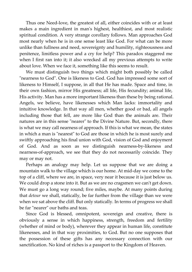Thus one Need-love, the greatest of all, either coincides with or at least makes a main ingredient in man's highest, healthiest, and most realistic spiritual condition. A very strange corollary follows. Man approaches God most nearly when he is in one sense least like God. For what can be more unlike than fullness and need, sovereignty and humility, righteousness and penitence, limitless power and a cry for help? This paradox staggered me when I first ran into it; it also wrecked all my previous attempts to write about love. When we face it, something like this seems to result.

We must distinguish two things which might both possibly be called "nearness to God". One is likeness to God. God has impressed some sort of likeness to Himself, I suppose, in all that He has made. Space and time, in their own fashion, mirror His greatness; all life, His fecundity; animal life, His activity. Man has a more important likeness than these by being rational. Angels, we believe, have likenesses which Man lacks: immortality and intuitive knowledge. In that way all men, whether good or bad, all angels including those that fell, are more like God than the animals are. Their natures are in this sense "nearer" to the Divine Nature. But, secondly, there is what we may call nearness of approach. If this is what we mean, the states in which a man is "nearest" to God are those in which he is most surely and swiftly approaching his final union with God, vision of God and enjoyment of God. And as soon as we distinguish nearness-by-likeness and nearness-of-approach, we see that they do not necessarily coincide. They may or may not.

Perhaps an analogy may help. Let us suppose that we are doing a mountain walk to the village which is our home. At mid-day we come to the top of a cliff, where we are, in space, very near it because it is just below us. We could drop a stone into it. But as we are no cragsmen we can't get down. We must go a long way round; five miles, maybe. At many points during that *detour* we shall, statically, be far further from the village than we were when we sat above the cliff. But only statically. In terms of progress we shall be far "nearer" our baths and teas.

Since God is blessed, omnipotent, sovereign and creative, there is obviously a sense in which happiness, strength, freedom and fertility (whether of mind or body), wherever they appear in human life, constitute likenesses, and in that way proximities, to God. But no one supposes that the possession of these gifts has any necessary connection with our sanctification. No kind of riches is a passport to the Kingdom of Heaven.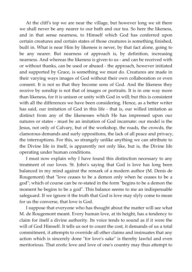At the cliff's top we are near the village, but however long we sit there we shall never be any nearer to our bath and our tea. So here the likeness, and in that sense nearness, to Himself which God has conferred upon certain creatures and certain states of those creatures is something finished, built in. What is near Him by likeness is never, by that fact alone, going to be any nearer. But nearness of approach is, by definition, increasing nearness. And whereas the likeness is given to us - and can be received with or without thanks, can be used or abused - the approach, however initiated and supported by Grace, is something we must do. Creatures are made in their varying ways images of God without their own collaboration or even consent. It is not so that they become sons of God. And the likeness they receive by sonship is not that of images or portraits. It is in one way more than likeness, for it is unison or unity with God in will; but this is consistent with all the differences we have been considering. Hence, as a better writer has said, our imitation of God in this life - that is, our willed imitation as distinct from any of the likenesses which He has impressed upon our natures or states - must be an imitation of God incarnate: our model is the Jesus, not only of Calvary, but of the workshop, the roads, the crowds, the clamorous demands and surly oppositions, the lack of all peace and privacy, the interruptions. For this, so strangely unlike anything we can attribute to the Divine life in itself, is apparently not only like, but is, the Divine life operating under human conditions.

I must now explain why I have found this distinction necessary to any treatment of our loves. St. John's saying that God is love has long been balanced in my mind against the remark of a modern author (M. Denis de Rougemont) that "love ceases to be a demon only when he ceases to be a god"; which of course can be re-stated in the form "begins to be a demon the moment he begins to be a god". This balance seems to me an indispensable safeguard. If we ignore it the truth that God is love may slyly come to mean for us the converse, that love is God.

I suppose that everyone who has thought about the matter will see what M. de Rougemont meant. Every human love, at its height, has a tendency to claim for itself a divine authority. Its voice tends to sound as if it were the will of God Himself. It tells us not to count the cost, it demands of us a total commitment, it attempts to override all other claims and insinuates that any action which is sincerely done "for love's sake" is thereby lawful and even meritorious. That erotic love and love of one's country may thus attempt to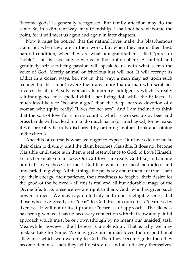"become gods" is generally recognised. But family affection may do the same. So, in a different way, may friendship. I shall not here elaborate the point, for it will meet us again and again in later chapters.

Now it must be noticed that the natural loves make this blasphemous claim not when they are in their worst, but when they are in their best, natural condition; when they are what our grandfathers called "pure" or "noble". This is especially obvious in the erotic sphere. A faithful and genuinely self-sacrificing passion will speak to us with what seems the voice of God. Merely animal or frivolous lust will not. It will corrupt its addict in a dozen ways, but not in that way; a man may act upon such feelings but he cannot revere them any more than a man who scratches reveres the itch. A silly woman's temporary indulgence, which is really self-indulgence, to a spoiled child - her living doll while the fit lasts - is much less likely to "become a god" than the deep, narrow devotion of a woman who (quite really) "Lives for her son". And I am inclined to think that the sort of love for a man's country which is worked up by beer and brass bands will not lead him to do much harm (or much good) for her sake. It will probably be fully discharged by ordering another drink and joining in the chorus.

And this of course is what we ought to expect. Our loves do not make their claim to divinity until the claim becomes plausible. It does not become plausible until there is in them a real resemblance to God, to Love Himself. Let us here make no mistake. Our Gift-loves are really God-like; and among our Gift-loves those are most God-like which are most boundless and unwearied in giving. All the things the poets say about them are true. Their joy, their energy, their patience, their readiness to forgive, their desire for the good of the beloved - all this is real and all but adorable image of the Divine life. In its presence we are right to thank God "who has given such power to men". We may say, quite truly and in an intelligible sense, that those who love greatly are "near" to God. But of course it is "nearness by likeness". It will not of itself produce "nearness of approach". The likeness has been given us. It has no necessary connection with that slow and painful approach which must be our own (though by no means our unaided) task. Meanwhile, however, the likeness is a splendour. That is why we may mistake Like for Same. We may give our human loves the unconditional allegiance which we owe only to God. Then they become gods: then they become demons. Then they will destroy us, and also destroy themselves.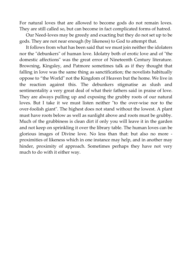For natural loves that are allowed to become gods do not remain loves. They are still called so, but can become in fact complicated forms of hatred.

Our Need-loves may be greedy and exacting but they do not set up to be gods. They are not near enough (by likeness) to God to attempt that.

It follows from what has been said that we must join neither the idolaters nor the "debunkers" of human love. Idolatry both of erotic love and of "the domestic affections" was the great error of Nineteenth Century literature. Browning, Kingsley, and Patmore sometimes talk as if they thought that falling in love was the same thing as sanctification; the novelists habitually oppose to "the World" not the Kingdom of Heaven but the home. We live in the reaction against this. The debunkers stigmatise as slush and sentimentality a very great deal of what their fathers said in praise of love. They are always pulling up and exposing the grubby roots of our natural loves. But I take it we must listen neither "to the over-wise nor to the over-foolish giant". The highest does not stand without the lowest. A plant must have roots below as well as sunlight above and roots must be grubby. Much of the grubbiness is clean dirt if only you will leave it in the garden and not keep on sprinkling it over the library table. The human loves can be glorious images of Divine love. No less than that: but also no more proximities of likeness which in one instance may help, and in another may hinder, proximity of approach. Sometimes perhaps they have not very much to do with it either way.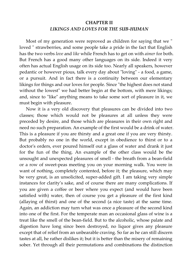### CHAPTER II LIKINGS AND LOVES FOR THE SUB-HUMAN

Most of my generation were reproved as children for saying that we " loved " strawberries, and some people take a pride in the fact that English has the two verbs love and like while French has to get on with aimer for both. But French has a good many other languages on its side. Indeed it very often has actual English usage on its side too. Nearly all speakers, however pedantic or however pious, talk every day about "loving" - a food, a game, or a pursuit. And in fact there is a continuity between our elementary likings for things and our loves for people. Since "the highest does not stand without the lowest" we had better begin at the bottom, with mere likings; and, since to "like" anything means to take some sort of pleasure in it, we must begin with pleasure.

Now it is a very old discovery that pleasures can be divided into two classes; those which would not be pleasures at all unless they were preceded by desire, and those which are pleasures in their own right and need no such preparation. An example of the first would be a drink of water. This is a pleasure if you are thirsty and a great one if you are very thirsty. But probably no one in the world, except in obedience to thirst or to a doctor's orders, ever poured himself out a glass of water and drank it just for the fun of the thing. An example of the other class would be the unsought and unexpected pleasures of smell - the breath from a bean-field or a row of sweet-peas meeting you on your morning walk. You were in want of nothing, completely contented, before it; the pleasure, which may be very great, is an unsolicited, super-added gift. I am taking very simple instances for clarity's sake, and of course there are many complications. If you are given a coffee or beer where you expect (and would have been satisfied with) water, then of course you get a pleasure of the first kind (allaying of thirst) and one of the second (a nice taste) at the same time. Again, an addiction may turn what was once a pleasure of the second kind into one of the first. For the temperate man an occasional glass of wine is a treat like the smell of the bean-field. But to the alcoholic, whose palate and digestion have long since been destroyed, no liquor gives any pleasure except that of relief from an unbearable craving. So far as he can still discern tastes at all, he rather dislikes it; but it is better than the misery of remaining sober. Yet through all their permutations and combinations the distinction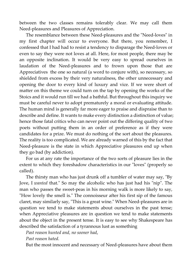between the two classes remains tolerably clear. We may call them Need-pleasures and Pleasures of Appreciation.

The resemblance between these Need-pleasures and the "Need-loves" in my first chapter will occur to everyone. But there, you remember, I confessed that I had had to resist a tendency to disparage the Need-loves or even to say they were not loves at all. Here, for most people, there may be an opposite inclination. It would be very easy to spread ourselves in laudation of the Need-pleasures and to frown upon those that are Appreciatives the one so natural (a word to conjure with), so necessary, so shielded from excess by their very naturalness, the other unnecessary and opening the door to every kind of luxury and vice. If we were short of matter on this theme we could turn on the tap by opening the works of the Stoics and it would run till we had a bathful. But throughout this inquiry we must be careful never to adopt prematurely a moral or evaluating attitude. The human mind is generally far more eager to praise and dispraise than to describe and define. It wants to make every distinction a distinction of value; hence those fatal critics who can never point out the differing quality of two poets without putting them in an order of preference as if they were candidates for a prize. We must do nothing of the sort about the pleasures. The reality is too complicated. We are already warned of this by the fact that Need-pleasure is the state in which Appreciative pleasures end up when they go bad (by addiction).

For us at any rate the importance of the two sorts of pleasure lies in the extent to which they foreshadow characteristics in our "loves" (properly so called).

The thirsty man who has just drunk off a tumbler of water may say, "By Jove, I wanted that." So may the alcoholic who has just had his "nip". The man who passes the sweet-peas in his morning walk is more likely to say, "How lovely the smell is." The connoisseur after his first sip of the famous claret, may similarly say, "This is a great wine." When Need-pleasures are in question we tend to make statements about ourselves in the past tense; when Appreciative pleasures are in question we tend to make statements about the object in the present tense. It is easy to see why Shakespeare has described the satisfaction of a tyrannous lust as something

Past reason hunted and, no sooner had,

Past reason hated.

But the most innocent and necessary of Need-pleasures have about them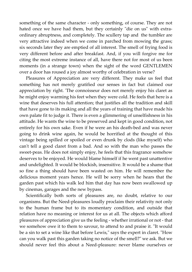something of the same character - only something, of course. They are not hated once we have had them, but they certainly "die on us" with extraordinary abruptness, and completely. The scullery tap and the tumbler are very attractive indeed when we come in parched from mowing the grass; six seconds later they are emptied of all interest. The smell of frying food is very different before and after breakfast. And, if you will forgive me for citing the most extreme instance of all, have there not for most of us been moments (in a strange town) when the sight of the word GENTLEMEN over a door has roused a joy almost worthy of celebration in verse?

Pleasures of Appreciation are very different. They make us feel that something has not merely gratified our senses in fact but claimed our appreciation by right. 'The connoisseur does not merely enjoy his claret as he might enjoy warming his feet when they were cold. He feels that here is a wine that deserves his full attention; that justifies all the tradition and skill that have gone to its making and all the years of training that have made his own palate fit to judge it. There is even a glimmering of unselfishness in his attitude. He wants the wine to be preserved and kept in good condition, not entirely for his own sake. Even if he were an his death-bed and was never going to drink wine again, he would be horrified at the thought of this vintage being spilled or spoiled or even drunk by clods (like myself) who can't tell a good claret from a bad. And so with the man who passes the sweet-peas. He does not simply enjoy, he feels that this fragrance somehow deserves to be enjoyed. He would blame himself if he went past unattentive and undelighted. It would be blockish, insensitive. It would be a shame that so fine a thing should have been wasted on him. He will remember the delicious moment years hence. He will be sorry when he hears that the garden past which his walk led him that day has now been swallowed up by cinemas, garages and the new bypass.

Scientifically both sorts of pleasures are, no doubt, relative to our organisms. But the Need-pleasures loudly proclaim their relativity not only to the human frame but to its momentary condition, and outside that relation have no meaning or interest for us at all. The objects which afford pleasures of appreciation give us the feeling - whether irrational or not - that we somehow owe it to them to savour, to attend to and praise it. "It would be a sin to set a wine like that before Lewis," says the expert in claret. "How can you walk past this garden taking no notice of the smell?" we ask. But we should never feel this about a Need-pleasure: never blame ourselves or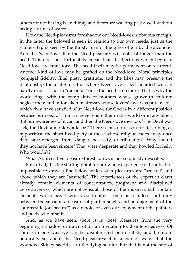others for not having been thirsty and therefore walking past a well without taking a drink of water.

How the Need-pleasures foreshadow our Need-loves is obvious enough. In the latter the beloved is seen in relation to our own needs, just as the scullery tap is seen by the thirsty man or the glass of gin by the alcoholic. And the Need-love, like the Need-pleasure, will not last longer than the need. This does not, fortunately, mean that all affections which begin in Need-love are transitory. The need itself may be permanent or recurrent. Another kind of love may be grafted on the Need-love. Moral principles (conjugal fidelity, filial piety, gratitude, and the like) may preserve the relationship for a lifetime. But where Need-love is left unaided we can hardly expect it not to "die on us" once the need is no more. That is why the world rings with the complaints of mothers whose grownup children neglect them and of forsaken mistresses whose lovers' love was pure need which they have satisfied. Our Need-love for God is in a different position because our need of Him can never end either in this world or in any other. But our awareness of it can, and then the Need-love dies too. "The Devil was sick, the Devil a monk would be." There seems no reason for describing as hypocritical the short-lived piety of those whose religion fades away once they have emerged from "danger, necessity, or tribulation". Why should they not have been sincere? They were desperate and they howled for help. Who wouldn't?

What Appreciative pleasure foreshadows is not so quickly described.

First of all, it is the starting point for our whole experience of beauty. It is impossible to draw a line below which such pleasures are "sensual" and above which they are "aesthetic". The experiences of the expert in claret already contain elements of concentration, judgment and disciplined perceptiveness, which are not sensual; those of the musician still contain elements which are. There is no frontier - there is seamless continuity between the sensuous pleasure of garden smells and an enjoyment of the countryside (or "beauty") as a whole, or even our enjoyment of the painters and poets who treat it.

And, as we have seen, there is in these pleasures from the very beginning a shadow or dawn of, or an invitation to, disinterestedness. Of course in one way we can he disinterested or unselfish, and far more heroically so, about the Need-pleasures: it is a cup of water that the wounded Sidney sacrifices to the dying soldier. But that is not the sort of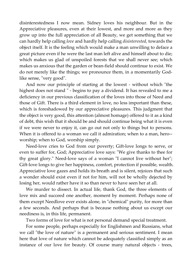disinterestedness I now mean. Sidney loves his neighbour. But in the Appreciative pleasures, even at their lowest, and more and more as they grow up into the full appreciation of all Beauty, we get something that we can hardly help calling love and hardly help calling disinterested, towards the object itself. It is the feeling which would make a man unwilling to deface a great picture even if he were the last man left alive and himself about to die; which makes us glad of unspoiled forests that we shall never see; which makes us anxious that the garden or bean-field should continue to exist. We do not merely like the things; we pronounce them, in a momentarily Godlike sense, "very good".

And now our principle of starting at the lowest - without which "the highest does not stand " - begins to pay a dividend. It has revealed to me a deficiency in our previous classification of the loves into those of Need and those of Gift. There is a third element in love, no less important than these, which is foreshadowed by our appreciative pleasures. This judgment that the object is very good, this attention (almost homage) offered to it as a kind of debt, this wish that it should be and should continue being what it is even if we were never to enjoy it, can go out not only to things but to persons. When it is offered to a woman we call it admiration; when to a man, hero- worship; when to God, worship simply.

Need-love cries to God from our poverty; Gift-love longs to serve, or even to suffer for, God; Appreciative love says: "We give thanks to thee for thy great glory." Need-love says of a woman "I cannot live without her"; Gift-love longs to give her happiness, comfort, protection if possible, wealth. Appreciative love gazes and holds its breath and is silent, rejoices that such a wonder should exist even if not for him, will not be wholly dejected by losing her, would rather have it so than never to have seen her at all.

We murder to dissect. In actual life, thank God, the three elements of love mix and succeed one another, moment by moment. Perhaps none of them except Needlove ever exists alone, in "chemical" purity, for more than a few seconds. And perhaps that is because nothing about us except our neediness is, in this life, permanent.

Two forms of love for what is not personal demand special treatment.

For some people, perhaps especially for Englishmen and Russians, what we call "the love of nature" is a permanent and serious sentiment. I mean here that love of nature which cannot be adequately classified simply as an instance of our love for beauty. Of course many natural objects - trees,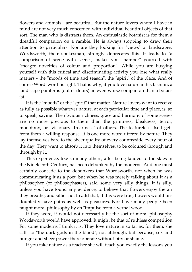flowers and animals - are beautiful. But the nature-lovers whom I have in mind are not very much concerned with individual beautiful objects of that sort. The man who is distracts them. An enthusiastic botanist is for them a dreadful companion on a ramble. He is always stopping to draw their attention to particulars. Nor are they looking for "views" or landscapes. Wordsworth, their spokesman, strongly deprecates this. It leads to "a comparison of scene with scene", makes you "pamper" yourself with "meagre novelties of colour and proportion". While you are busying yourself with this critical and discriminating activity you lose what really matters - the "moods of time and season", the "spirit" of the place. And of course Wordsworth is right. That is why, if you love nature in his fashion, a landscape painter is (out of doors) an even worse companion than a botanist.

It is the "moods" or the "spirit" that matter. Nature-lovers want to receive as fully as possible whatever nature, at each particular time and place, is, so to speak, saying. The obvious richness, grace and harmony of some scenes are no more precious to them than the grimness, bleakness, terror, monotony, or "visionary dreariness" of others. The featureless itself gets from them a willing response. It is one more word uttered by nature. They lay themselves bare to the sheer quality of every countryside every hour of the day. They want to absorb it into themselves, to be coloured through and through by it.

This experience, like so many others, after being lauded to the skies in the Nineteenth Century, has been debunked by the moderns. And one must certainly concede to the debunkers that Wordsworth, not when he was communicating it as a poet, but when he was merely talking about it as a philosopher (or philosophaster), said some very silly things. It is silly, unless you have found any evidence, to believe that flowers enjoy the air they breathe, and sillier not to add that, if this were true, flowers would undoubtedly have pains as well as pleasures. Nor have many people been taught moral philosophy by an "impulse from a vernal wood".

If they were, it would not necessarily be the sort of moral philosophy Wordsworth would have approved. It might be that of ruthless competition. For some moderns I think it is. They love nature in so far as, for them, she calls to "the dark gods in the blood"; not although, but because, sex and hunger and sheer power there operate without pity or shame.

If you take nature as a teacher she will teach you exactly the lessons you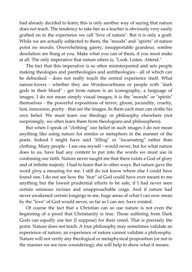had already decided to learn; this is only another way of saying that nature does not teach. The tendency to take her as a teacher is obviously very easily grafted on to the experience we call "love of nature". But it is only a graft. While we are actually subjected to them, the "moods" and "spirits" of nature point no morals. Overwhelming gaiety, insupportable grandeur, sombre desolation are flung at you. Make what you can of them, if you must make at all. The only imperative that nature utters is, "Look. Listen. Attend."

The fact that this imperative is so often misinterpreted and sets people making theologies and pantheologies and antitheologies - all of which can be debunked - does not really touch the central experience itself. What nature-lovers - whether they are Wordsworthians or people with "dark gods in their blood" - get from nature is an iconography, a language of images. I do not mean simply visual images; it is the "moods" or "spirits" themselves - the powerful expositions of terror, gloom, jocundity, cruelty, lust, innocence, purity - that are the images. In them each man can clothe his own belief. We must learn our theology or philosophy elsewhere (not surprisingly, we often learn them from theologians and philosophers).

But when I speak of "clothing" our belief in such images I do not mean anything like using nature for similes or metaphors in the manner of the poets. Indeed I might have said "filling" or "incarnating" rather than clothing. Many people - I am one myself - would never, but for what nature does to us, have had any content to put into the words we must use in confessing our faith. Nature never taught me that there exists a God of glory and of infinite majesty. I had to learn that in other ways. But nature gave the word glory a meaning for me. I still do not know where else I could have found one. I do not see how the "fear" of God could have ever meant to me anything but the lowest prudential efforts to be safe, if I had never seen certain ominous ravines and unapproachable crags. And if nature had never awakened certain longings in me, huge areas of what I can now mean by the "love" of God would never, so far as I can see, have existed.

Of course the fact that a Christian can so use nature is not even the beginning of a proof that Christianity is true. Those suffering from Dark Gods can equally use her (I suppose) for their creed. That is precisely the point. Nature does not teach. A true philosophy may sometimes validate an experience of nature; an experience of nature cannot validate a philosophy. Nature will not verify any theological or metaphysical proposition (or not in the manner we are now considering); she will help to show what it means.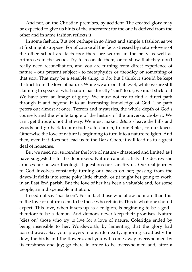And not, on the Christian premises, by accident. The created glory may be expected to give us hints of the uncreated; for the one is derived from the other and in same fashion reflects it.

In some fashion. But not perhaps in so direct and simple a fashion as we at first might suppose. For of course all the facts stressed by nature-lovers of the other school are facts too; there are worms in the belly as well as primroses in the wood. Try to reconcile them, or to show that they don't really need reconciliation, and you are turning from direct experience of nature - our present subject - to metaphysics or theodicy or something of that sort. That may be a sensible thing to do; but I think it should be kept distinct from the love of nature. While we are on that level, while we are still claiming to speak of what nature has directly "said" to us, we must stick to it. We have seen an image of glory. We must not try to find a direct path through it and beyond it to an increasing knowledge of God. The path peters out almost at once. Terrors and mysteries, the whole depth of God's counsels and the whole tangle of the history of the universe, choke it. We can't get through; not that way. We must make a detour - leave the hills and woods and go back to our studies, to church, to our Bibles, to our knees. Otherwise the love of nature is beginning to turn into a nature religion. And then, even if it does not lead us to the Dark Gods, it will lead us to a great deal of nonsense.

But we need not surrender the love of nature - chastened and limited as I have suggested - to the debunkers. Nature cannot satisfy the desires she arouses nor answer theological questions nor sanctify us. Our real journey to God involves constantly turning our backs on her; passing from the dawn-lit fields into some poky little church, or (it might be) going to work. in an East End parish. But the love of her has been a valuable and, for some people, an indispensable initiation.

I need not say "has been". For in fact those who allow no more than this to the love of nature seem to be those who retain it. This is what one should expect. This love, when it sets up as a religion, is beginning to be a god therefore to be a demon. And demons never keep their promises. Nature "dies on" those who try to live for a love of nature. Coleridge ended by being insensible to her; Wordsworth, by lamenting that the glory had passed away. Say your prayers in a garden early, ignoring steadfastly the dew, the birds and the flowers, and you will come away overwhelmed by its freshness and joy; go there in order to be overwhelmed and, after a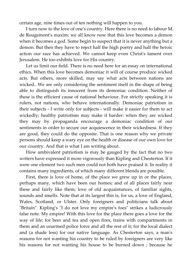certain age, nine times out of ten nothing will happen to you.

I turn now to the love of one's country. Here there is no need to labour M. de Rougemont's maxim; we all know now that this love becomes a demon when it becomes a god. Some begin to suspect that it is never anything but a demon. But then they have to reject half the high poetry and half the heroic action our race has achieved. We cannot keep even Christ's lament over Jerusalem. He too exhibits love for His country.

Let us limit our field. There is no need here for an essay on international ethics. When this love becomes demoniac it will of course produce wicked acts. But others, more skilled, may say what acts between nations are wicked.. We are only considering the sentiment itself in the shape of being able to distinguish its innocent from its demoniac condition. Neither of these is the efficient cause of national behaviour. For strictly speaking it is rulers, not nations, who behave internationally. Demoniac patriotism in their subjects - I write only for subjects - will make it easier for them to act wickedly; healthy patriotism may make it harder: when they are wicked they may by propaganda encourage a demoniac condition of our sentiments in order to secure our acquiescence in their wickedness. If they are good, they could do the opposite. That is one reason why we private persons should keep a wary eye on the health or disease of our own love for our country. And that is what I am writing about.

How ambivalent patriotism is may be gauged by the fact that no two writers have expressed it more vigorously than Kipling and Chesterton. If it were one element two such men could not both have praised it. In reality it contains many ingredients, of which many different blends are possible.

First, there is love of home, of the place we grew up in or the places, perhaps many, which have been our homes; and of all places fairly near these and fairly like them; love of old acquaintances, of familiar sights, sounds and smells. Note that at its largest this is, for us, a love of England, Wales, Scotland, or Ulster. Only foreigners and politicians talk about "Britain". Kipling's "I do not love my empire's foes" strikes a ludicrously false note. My empire! With this love for the place there goes a love for the way of life; for beer and tea and open fires, trains with compartments in them and an unarmed police force and all the rest of it; for the local dialect and (a shade less) for our native language. As Chesterton says, a man's reasons for not wanting his country to be ruled by foreigners are very like his reasons for not wanting his house to be burned down ; because he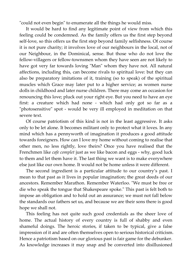"could not even begin" to enumerate all the things he would miss.

It would be hard to find any legitimate point of view from which this feeling could be condemned. As the family offers us the first step beyond self-love, so this offers us the first step beyond family selfishness. Of course it is not pure charity; it involves love of our neighbours in the local, not of our Neighbour, in the Dominical, sense. But those who do not love the fellow-villagers or fellow-townsmen whom they have seen are not likely to have got very far towards loving "Man" whom they have not. All natural affections, including this, can become rivals to spiritual love: but they can also be preparatory imitations of it, training (so to speak) of the spiritual muscles which Grace may later put to a higher service; as women nurse dolls in childhood and later nurse children. There may come an occasion for renouncing this love; pluck out your right eye. But you need to have an eye first: a creature which had none - which had only got so far as a "photosensitive" spot - would be very ill employed in meditation on that severe text.

Of course patriotism of this kind is not in the least aggressive. It asks only to be let alone. It becomes militant only to protect what it loves. In any mind which has a pennyworth of imagination it produces a good attitude towards foreigners. How can I love my home without coming to realise that other men, no less rightly, love theirs? Once you have realised that the Frenchmen like *cafe complet* just as we like bacon and eggs - why, good luck to them and let them have it. The last thing we want is to make everywhere else just like our own home. It would not be home unless it were different.

The second ingredient is a particular attitude to our country's past. I mean to that past as it lives in popular imagination; the great deeds of our ancestors. Remember Marathon. Remember Waterloo. "We must be free or die who speak the tongue that Shakespeare spoke." This past is felt both to impose an obligation and to hold out an assurance; we must not fall below the standards our fathers set us, and because we are their sons there is good hope we shall not.

This feeling has not quite such good credentials as the sheer love of home. The actual history of every country is full of shabby and even shameful doings. The heroic stories, if taken to be typical, give a false impression of it and are often themselves open to serious historical criticism. Hence a patriotism based on our glorious past is fair game for the debunker. As knowledge increases it may snap and be converted into disillusioned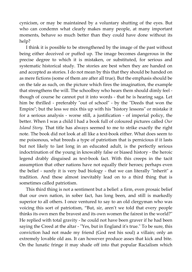cynicism, or may be maintained by a voluntary shutting of the eyes. But who can condemn what clearly makes many people, at many important moments, behave so much better than they could have done without its help?

I think it is possible to be strengthened by the image of the past without being either deceived or puffed up. The image becomes dangerous in the precise degree to which it is mistaken, or substituted, for serious and systematic historical study. The stories are best when they are handed on and accepted as stories. I do not mean by this that they should be handed on as mere fictions (some of them are after all true). But the emphasis should be on the tale as such, on the picture which fires the imagination, the example that strengthens the will. The schoolboy who hears them should dimly feel though of course he cannot put it into words - that he is hearing saga. Let him be thrilled - preferably "out of school" - by the "Deeds that won the Empire"; but the less we mix this up with his "history lessons" or mistake it for a serious analysis - worse still, a justification - of imperial policy, the better. When I was a child I had a book full of coloured pictures called Our Island Story. That title has always seemed to me to strike exactly the right note. The book did not look at all like a text-book either. What does seem to me poisonous, what breeds a type of patriotism that is pernicious if it lasts but not likely to last long in an educated adult, is the perfectly serious indoctrination of the young in knowably false or biased history - the heroic legend drably disguised as text-book fact. With this creeps in the tacit assumption that other nations have not equally their heroes; perhaps even the belief - surely it is very bad biology - that we can literally "inherit" a tradition. And these almost inevitably lead on to a third thing that is sometimes called patriotism.

This third thing is not a sentiment but a belief: a firm, even prosaic belief that our own nation, in sober fact, has long been, and still is markedly superior to all others. I once ventured to say to an old clergyman who was voicing this sort of patriotism, "But, sir, aren't we told that every people thinks its own men the bravest and its own women the fairest in the world?" He replied with total gravity - he could not have been graver if he had been saying the Creed at the altar - "Yes, but in England it's true." To be sure, this conviction had not made my friend (God rest his soul) a villain; only an extremely lovable old ass. It can however produce asses that kick and bite. On the lunatic fringe it may shade off into that popular Racialism which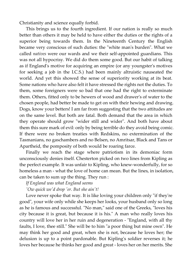Christianity and science equally forbid.

This brings us to the fourth ingredient. If our nation is really so much better than others it may be held to have either the duties or the rights of a superior being towards them. In the Nineteenth Century the English became very conscious of such duties: the "white man's burden". What we called natives were our wards and we their self-appointed guardians. This was not all hypocrisy. We did do them some good. But our habit of talking as if England's motive for acquiring an empire (or any youngster's motives for seeking a job in the I.C.S.) had been mainly altruistic nauseated the world. And yet this showed the sense of superiority working at its beat. Some nations who have also felt it have stressed the rights not the duties. To them, some foreigners were so bad that one had the right to exterminate them. Others, fitted only to be hewers of wood and drawer's of water to the chosen people, had better be made to get on with their hewing and drawing. Dogs, know your betters! I am far from suggesting that the two attitudes are on the same level. But both are fatal. Both demand that the area in which they operate should grow "wider still and wider". And both have about them this sure mark of evil: only by being terrible do they avoid being comic. If there were no broken treaties with Redskins, no extermination of the Tasmanians, no gaschambers and no Belsen, no Amritsar, Black and Tans or Apartheid, the pomposity of both would be roaring farce.

Finally we reach the stage where patriotism in its demoniac form unconsciously denies itself. Chesterton picked on two lines from Kipling as the perfect example. It was unfair to Kipling, who knew-wonderfully, for so homeless a man - what the love of home can mean. But the lines, in isolation, can be taken to sum up the thing. They run :

If England was what England seems

'Ow quick we'd drop 'er. But she ain't!

Love never spoke that way. It is like loving your children only "if they're good", your wife only while she keeps her looks, your husband only so long as he is famous and successful. "No man," said one of the Greeks, "loves his city because it is great, but because it is his." A man who really loves his country will love her in her ruin and degeneration - "England, with all thy faults, I love, thee still." She will be to him "a poor thing but mine own". He may think her good and great, when she is not, because he loves her; the delusion is up to a point pardonable. But Kipling's soldier reverses it; he loves her because he thinks her good and great - loves her on her merits. She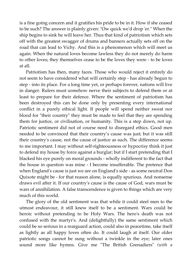is a fine going concern and it gratifies his pride to be in it. How if she ceased to be such? The answer is plainly given: "Ow quick we'd drop 'er." When the ship begins to sink he will leave her. Thus that kind of patriotism which sets off with the greatest swagger of drums and banners actually sets off on the road that can lead to Vichy. And this is a phenomenon which will meet us again. When the natural loves become lawless they do not merely do harm to other loves; they themselves cease to be the loves they were - to be loves at all.

Patriotism has then, many faces. Those who would reject it entirely do not seem to have considered what will certainly step - has already begun to step - into its place. For a long time yet, or perhaps forever, nations will live in danger. Rulers must somehow nerve their subjects to defend them or at least to prepare for their defence. Where the sentiment of patriotism has been destroyed this can be done only by presenting every international conflict in a purely ethical light. If people will spend neither sweat nor blood for "their country" they must be made to feel that they are spending them for justice, or civilisation, or humanity. This is a step down, not up. Patriotic sentiment did not of course need to disregard ethics. Good men needed to be convinced that their country's cause was just; but it was still their country's cause, not the cause of justice as such. The difference seems to me important. I may without self-righteousness or hypocrisy think it just to defend my house by force against a burglar; but if I start pretending that I blacked his eye purely on moral grounds - wholly indifferent to the fact that the house in question was mine - I become insufferable. The pretence that when England's cause is just we are on England's side - as some neutral Don Quixote might be - for that reason alone, is equally spurious. And nonsense draws evil after it. If our country's cause is the cause of God, wars must be wars of annihilation. A false transcendence is given to things which are very much of this world.

The glory of the old sentiment was that while it could steel men to the utmost endeavour, it still knew itself to be a sentiment. Wars could be heroic without pretending to be Holy Wars. The hero's death was not confused with the martyr's. And (delightfully) the same sentiment which could be so serious in a rearguard action, could also in peacetime, take itself as lightly as all happy loves often do. It could laugh at itself. Our older patriotic songs cannot be sung without a twinkle in the eye; later ones sound more like hymns. Give me "The British Grenadiers" (with a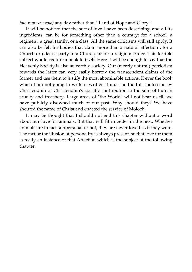tow-row-row-row) any day rather than " Land of Hope and Glory ".

It will be noticed that the sort of love I have been describing, and all its ingredients, can be for something other than a country: for a school, a regiment, a great family, or a class. All the same criticisms will still apply. It can also be felt for bodies that claim more than a natural affection : for a Church or (alas) a party in a Church, or for a religious order. This terrible subject would require a book to itself. Here it will be enough to say that the Heavenly Society is also an earthly society. Our (merely natural) patriotism towards the latter can very easily borrow the transcendent claims of the former and use them to justify the most abominable actions. If ever the book which I am not going to write is written it must be the full confession by Christendom of Christendom's specific contribution to the sum of human cruelty and treachery. Large areas of "the World" will not hear us till we have publicly disowned much of our past. Why should they? We have shouted the name of Christ and enacted the service of Moloch.

It may be thought that I should not end this chapter without a word about our love for animals. But that will fit in better in the next. Whether animals are in fact subpersonal or not, they are never loved as if they were. The fact or the illusion of personality is always present, so that love for them is really an instance of that Affection which is the subject of the following chapter.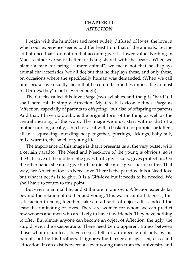### CHAPTER III **AFFECTION**

I begin with the humblest and most widely diffused of loves, the love in which our experience seems to differ least from that of the animals. Let me add at once that I do not on that account give it a lower value. Nothing in Man is either worse or better for being shared with the beasts. When we blame a man for being "a mere animal", we mean not that he displays animal characteristics (we all do) but that he displays these, and only these, on occasions where the specifically human was demanded. (When we call him "brutal" we usually mean that he commits cruelties impossible to most real brutes; they're not clever enough).

The Greeks called this love storge (two syllables and the g is "hard"). I shall here call it simply Affection. My Greek Lexicon defines storge as "affection, especially of parents to offspring"; but also of offspring to parents. And that, I have no doubt, is the original form of the thing as well as the central meaning of the word. The image we must start with is that of a mother nursing a baby, a bitch or a cat with a basketful of puppies or kittens; all in a squeaking, nuzzling heap together; purrings, lickings, baby-talk, milk, warmth, the smell of young life.

The importance of this image is that it presents us at the very outset with a certain paradox. The Need and Need-love of the young is obvious; so is the Gift-love of the mother. She gives birth, gives suck, gives protection. On the other hand, she must give birth or die. She must give suck or suffer. That way, her Affection too is a Need-love. There is the paradox. It is a Need-love but what it needs is to give. It is a Gift-love but it needs to be needed. We shall have to return to this point.

But even in animal life, and still more in our own, Affection extends far beyond the relation of mother and young. This warm comfortableness, this satisfaction in being together, takes in all sorts of objects. It is indeed the least discriminating of loves. There are women for whom we can predict few wooers and men who are likely to have few friends. They have nothing to offer. But almost anyone can become an object of Affection; the ugly, the stupid, even the exasperating. There need be no apparent fitness between those whom it unites. I have seen it felt for an imbecile not only by his parents but by his brothers. It ignores the barriers of age, sex, class and education. It can exist between a clever young man from the university and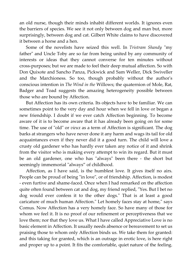an old nurse, though their minds inhabit different worlds. It ignores even the barriers of species. We see it not only between dog and man but, more surprisingly, between dog and cat. Gilbert White claims to have discovered it between a horse and a hen.

Some of the novelists have seized this well. In Tristram Shandy "my father" and Uncle Toby are so far from being united by any community of interests or ideas that they cannot converse for ten minutes without cross-purposes; but we are made to feel their deep mutual affection. So with Don Quixote and Sancho Panza, Pickwick and Sam WeIler, Dick Swiveller and the Marchioness. So too, though probably without the author's conscious intention in The Wind in the Willows; the quaternion of Mole, Rat, Badger and Toad suggests the amazing heterogeneity possible between those who are bound by Affection.

But Affection has its own criteria. Its objects have to be familiar. We can sometimes point to the very day and hour when we fell in love or began a new friendship. I doubt if we ever catch Affection beginning. To become aware of it is to become aware that it has already been going on for some time. The use of "old" or vieux as a term of Affection is significant. The dog barks at strangers who have never done it any harm and wags its tail for old acquaintances even if they never did it a good turn. The child will love a crusty old gardener who has hardly ever taken any notice of it and shrink from the visitor who is making every attempt to win its regard. But it must be an old gardener, one who has "always" been there - the short but seemingly immemorial "always" of childhood.

Affection, as I have said, is the humblest love. It gives itself no airs. People can be proud of being "in love", or of friendship. Affection, is modest - even furtive and shame-faced. Once when I had remarked on the affection quite often found between cat and dog, my friend replied, "Yes. But I bet no dog would ever confess it to the other dogs." That is at least a good caricature of much human Affection." Let homely faces stay at home," says Comus. Now Affection has a very homely face. So have many of those for whom we feel it. It is no proof of our refinement or perceptiveness that we love them; nor that they love us. What I have called Appreciative Love is no basic element in Affection. It usually needs absence or bereavement to set us praising those to whom only Affection binds us. We take them for granted: and this taking for granted, which is an outrage in erotic love, is here right and proper up to a point. It fits the comfortable, quiet nature of the feeling.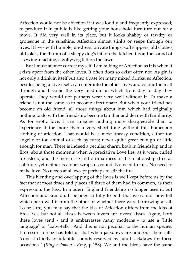Affection would not be affection if it was loudly and frequently expressed; to produce it in public is like getting your household furniture out for a move. It did very well in its place, but it looks shabby or tawdry or grotesque in the sunshine. Affection almost slinks or seeps through our lives. It lives with humble, un-dress, private things; soft slippers, old clothes, old jokes, the thump of a sleepy dog's tail on the kitchen floor, the sound of a sewing-machine, a gollywog left on the lawn.

But I must at once correct myself. I am talking of Affection as it is when it exists apart from the other loves. It often does so exist; often not. As gin is not only a drink in itself but also a base for many mixed drinks, so Affection, besides being a love itself, can enter into the other loves and colour them all through and become the very medium in which from day to day they operate. They would not perhaps wear very well without it. To make a friend is not the same as to become affectionate. But when your friend has become an old friend, all those things about him which had originally nothing to do with the friendship become familiar and dear with familiarity. As for erotic love, I can imagine nothing more disagreeable than to experience it for more than a very short time without this homespun clothing of affection. That would be a most uneasy condition, either too angelic or too animal or each by turn; never quite great enough or little enough for man. There is indeed a peculiar charm, both in friendship and in Eros, about those moments when Appreciative Love lies, as it were, curled up asleep, and the mere ease and ordinariness of the relationship (free as solitude, yet neither is alone) wraps us round. No need to talk. No need to make love. No needs at all except perhaps to stir the fire.

This blending and overlapping of the loves is well kept before us by the fact that at most times and places all three of them had in common, as their expression, the kiss. In modern England friendship no longer uses it, but Affection and Eros do. It belongs so fully to both that we cannot now tell which borrowed it from the other or whether there were borrowing at all. To be sure, you may say that the kiss of Affection differs from the kiss of Eros. Yes, but not all kisses between lovers are lovers' kisses. Again, both these loves tend - and it embarrasses many moderns - to use a "little language" or "baby-talk". And this is not peculiar to the human species. Professor Lorenz has told us that when jackdaws are amorous their calls "consist chiefly of infantile sounds reserved by adult jackdaws for these occasions " (King Solomon's Ring, p.158). We and the birds have the same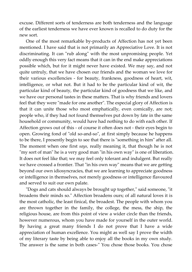excuse. Different sorts of tenderness are both tenderness and the language of the earliest tenderness we have ever known is recalled to do duty for the new sort.

One of the most remarkable by-products of Affection has not yet been mentioned. I have said that is not primarily an Appreciative Love. It is not discriminating. It can "rub along" with the most unpromising people. Yet oddly enough this very fact means that it can in the end make appreciations possible which, but for it might never have existed. We may say, and not quite untruly, that we have chosen our friends and the woman we love for their various excellencies - for beauty, frankness, goodness of heart, wit, intelligence, or what not. But it had to be the particular kind of wit, the particular kind of beauty, the particular kind of goodness that we like, and we have our personal tastes in these matters. That is why friends and lovers feel that they were "made for one another". The especial glory of Affection is that it can unite those who most emphatically, even comically, are not; people who, if they had not found themselves put down by fate in the same household or community, would have had nothing to do with each other. If Affection grows out of this - of course it often does not - their eyes begin to open. Growing fond of "old so-and-so", at first simply because he happens to be there, I presently begin to see that there is "something in him" after all. The moment when one first says, really meaning it, that though he is not "my sort of man" he is a very good man "in his own way" is one of liberation. It does not feel like that; we may feel only tolerant and indulgent. But really we have crossed a frontier. That "in his own way" means that we are getting beyond our own idiosyncracies, that we are learning to appreciate goodness or intelligence in themselves, not merely goodness or intelligence flavoured and served to suit our own palate.

"Dogs and cats should always be brought up together," said someone, "it broadens their minds so." Affection broadens ours; of all natural loves it is the most catholic, the least finical, the broadest. The people with whom you are thrown together in the family, the college, the mess, the ship, the religious house, are from this point of view a wider circle than the friends, however numerous, whom you have made for yourself in the outer world. By having a great many friends I do not prove that I have a wide appreciation of human excellence. You might as well say I prove the width of my literary taste by being able to enjoy all the books in my own study. The answer is the same in both cases-" You chose those books. You chose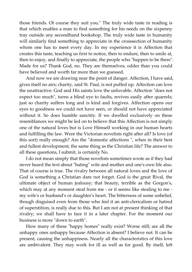those friends. Of course they suit you." The truly wide taste in reading is that which enables a man to find something for his needs on the sixpenny tray outside any secondhand bookshop. The truly wide taste in humanity will similarly find something to appreciate in the crosssection of humanity whom one has to meet every day. In my experience it is Affection that creates this taste, teaching us first to notice, then to endure, then to smile at, then to enjoy, and finally to appreciate, the people who "happen to be there". Made for us? Thank God, no. They are themselves, odder than you could have believed and worth far more than we guessed.

And now we are drawing near the point of danger. Affection, I have said, gives itself no airs; charity, said St. Paul, is not puffed up. Affection can love the unattractive: God and His saints love the unlovable. Affection "does not expect too much", turns a blind eye to faults, revives easily after quarrels; just so charity suffers long and is kind and forgives. Affection opens our eyes to goodness we could not have seen, or should not have appreciated without it. So does humble sanctity. If we dwelled exclusively on these resemblances we might be led on to believe that this Affection is not simply one of the natural loves but is Love Himself working in our human hearts and fulfilling the law. Were the Victorian novelists right after all? Is love (of this sort) really enough? Are the "domestic affections ", when in their best and fullest development, the same thing as the Christian life? The answer to all these questions, I submit, is certainly No.

I do not mean simply that those novelists sometimes wrote as if they had never heard the text about "hating" wife and mother and one's own life also. That of course is true. The rivalry between all natural loves and the love of God is something a Christian dare not forget. God is the great Rival, the ultimate object of human jealousy; that beauty, terrible as the Gorgon's, which may at any moment steal from me - or it seems like stealing to me my wife's or husband's or daughter's heart. The bitterness of some unbelief, though disguised even from those who feel it an anti-clericalism or hatred of superstition, is really due to this. But I am not at present thinking of that rivalry; we shall have to face it in a later chapter. For the moment our business is more "down to earth".

How many of these "happy homes" really exist? Worse still; are all the unhappy ones unhappy because Affection is absent? I believe not. It can be present, causing the unhappiness. Nearly all the characteristics of this love are ambivalent. They may work for ill as well as for good. By itself, left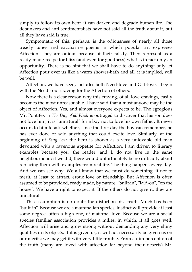simply to follow its own bent, it can darken and degrade human life. The debunkers and anti-sentimentalists have not said all the truth about it, but all they have said is true.

Symptomatic of this, perhaps, is the odiousness of nearly all those treacly tunes and saccharine poems in which popular art expresses Affection. They are odious because of their falsity. They represent as a ready-made recipe for bliss (and even for goodness) what is in fact only an opportunity. There is no hint that we shall have to do anything: only let Affection pour over us like a warm shower-bath and all, it is implied, will be well.

Affection, we have seen, includes both Need-love and Gift-love. I begin with the Need - our craving for the Affection of others.

Now there is a clear reason why this craving, of all love-cravings, easily becomes the most unreasonable. I have said that almost anyone may be the object of Affection. Yes, and almost everyone expects to be. The egregious Mr. Pontifex in The Day of all Flesh is outraged to discover that his son does not love him; it is "unnatural" for a boy not to love his own father. It never occurs to him to ask whether, since the first day the boy can remember, he has ever done or said anything that could excite love. Similarly, at the beginning of King Lear the hero is shown as a very unlovable old man devoured with a ravenous appetite for Affection. I am driven to literary examples because you, the reader, and I, do not live in the same neighbourhood; if we did, there would unfortunately be no difficulty about replacing them with examples from real life. The thing happens every day. And we can see why. We all know that we must do something, if not to merit, at least to attract, erotic love or friendship. But Affection is often assumed to be provided, ready made, by nature; "built-in", "laid-on", "on the house". We have a right to expect it. If the others do not give it, they are unnatural.

This assumption is no doubt the distortion of a truth. Much has been "built-in". Because we are a mammalian species, instinct will provide at least some degree, often a high one, of maternal love. Because we are a social species familiar association provides a milieu in which, if all goes well, Affection will arise and grow strong without demanding any very shiny qualities in its objects. If it is given us, it will not necessarily be given us on our merits; we may get it with very little trouble. From a dim perception of the truth (many are loved with affection far beyond their deserts) Mr.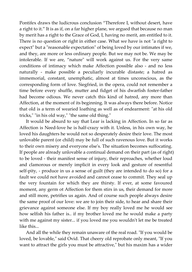Pontifex draws the ludicrous conclusion "Therefore I, without desert, have a right to it." It is as if, on a far higher plane, we argued that because no man by merit has a right to the Grace of God, I, having no merit, am entitled to it. There is no question or right in either case. What we have is not "a right to expect" but a "reasonable expectation" of being loved by our intimates if we, and they, are more or less ordinary people. But we may not be. We may be intolerable. If we are, "nature" will work against us. For the very same conditions of intimacy which make Affection possible also - and no less naturally - make possible a peculiarly incurable distaste; a hatred as immemorial, constant, unemphatic, almost at times unconscious, as the corresponding form of love. Siegfried, in the opera, could not remember a time before every shuffle, mutter and fidget of his dwarfish foster-father had become odious. We never catch this kind of hatred, any more than Affection, at the moment of its beginning. It was always there before. Notice that old is a term of wearied loathing as well as of endearment: "at his old tricks," "in his old way," "the same old thing."

It would be absurd to say that Lear is lacking in Affection. In so far as Affection is Need-love he is half-crazy with it. Unless, in his own way, he loved his daughters he would not so desperately desire their love. The most unlovable parent (or child) may be full of such ravenous love. But it works to their own misery and everyone else's. The situation becomes suffocating. If people are already unlovable a continual demand on their part (as of right) to be loved - their manifest sense of injury, their reproaches, whether loud and clamorous or merely implicit in every look and gesture of resentful self-pity, - produce in us a sense of guilt (they are intended to do so) for a fault we could not have avoided and cannot cease to commit. They seal up the very fountain for which they are thirsty. If ever, at some favoured moment, any germ ot Affection for them stirs in us, their demand for more and still more, petrifies us again. And of course such people always desire the same proof of our love: we are to join their side, to hear and share their grievance against someone else. If my boy really loved me he would see how selfish his father is.. if my brother loved me he would make a party with me against my sister... if you loved me you wouldn't let me be treated like this...

And all the while they remain unaware of the real road. "If you would be loved, be lovable," said Ovid. That cheery old reprobate only meant, "If you want to attract the girls you must be attractive," but his maxim has a wider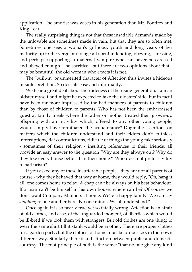application. The amorist was wises in his generation than Mr. Pontifex and King Lear.

The really surprising thing is not that these insatiable demands made by the unlovable are sometimes made in vain, but that they are so often met. Sometimes one sees a woman's girlhood, youth and long years of her maturity up to the verge of old age all spent in tending, obeying, caressing, and perhaps supporting, a maternal vampire who can never be caressed and obeyed enough. The sacrifice - but there are two opinions about that may be beautiful; the old woman who exacts it is not.

The "built-in" or unmerited character of Affection thus invites a hideous misinterpretation. So does its ease and informality.

We hear a great deal about the rudeness of the rising generation. I am an oldster myself and might be expected to take the oldsters' side, but in fact I have been far more impressed by the bad manners of parents to children than by those of children to parents. Who has not been the embarrassed guest at family meals where the father or mother treated their grown-up offspring with an incivility which, offered to any other young people, would simply have terminated the acquaintance? Dogmatic assertions on matters which the children understand and their elders don't, ruthless interruptions, flat contradictions, ridicule of things the young take seriously - sometimes of their religion - insulting references to their friends, all provide an easy answer to the question "Why are they always out? Why do they like every house better than their home?" Who does not prefer civility to barbarism?

If you asked any of these insufferable people - they are not all parents of course - why they behaved that way at home, they would reply, "Oh, hang it all, one comes home to relax. A chap can't be always on his best behaviour. If a man can't be himself in his own house, where can he? Of course we don't want Company Manners at home. We're a happy family. We can say anything to one another here. No one minds. We all understand."

Once again it is so nearly true yet so fatally wrong. Affection is an affair of old clothes, and ease, of the unguarded moment, of liberties which would be ill-bred if we took them with strangers. But old clothes are one thing; to wear the same shirt till it stank would be another. There are proper clothes for a garden party; but the clothes for home must be proper too, in their own different way. Similarly there is a distinction between public and domestic courtesy. The root principle of both is the same: "that no one give any kind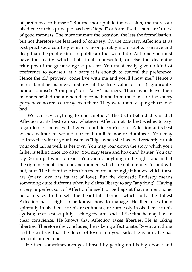of preference to himself." But the more public the occasion, the more our obedience to this principle has been "taped" or formalised. There are "rules" of good manners. The more intimate the occasion, the less the formalisation; but not therefore the less need of courtesy. On the contrary, Affection at its best practises a courtesy which is incomparably more subtle, sensitive and deep than the public kind. In public a ritual would do. At home you must have the reality which that ritual represented, or else the deafening triumphs of the greatest egoist present. You must really give no kind of preference to yourself; at a party it is enough to conceal the preference. Hence the old proverb "come live with me and you'll know me." Hence a man's familiar manners first reveal the true value of his (significantly odious phrase!) "Company" or "Party" manners. Those who leave their manners behind them when they come home from the dance or the sherry party have no real courtesy even there. They were merely aping those who had.

"We can say anything to one another." The truth behind this is that Affection at its best can say whatever Affection at its best wishes to say, regardless of the rules that govern public courtesy; for Affection at its best wishes neither to wound nor to humiliate nor to domineer. You may address the wife of your bosom as "Pig!" when she has inadvertently drunk your cocktail as well. as her own. You may roar down the story which your father is telling once too often. You may tease and hoax and banter. You can say "Shut up. I want to read". You can do anything in the right tone and at the right moment - the tone and moment which are not intended to, and will not, hurt. The better the Affection the more unerringly it knows which these are (every love has its art of love). But the domestic Rudesby means something quite different when he claims liberty to say "anything". Having a very imperfect sort of Affection himself, or perhaps at that moment none, he arrogates to himself the beautiful liberties which only the fullest Affection has a right to or knows how to manage. He then uses them spitefully in obedience to his resentments; or ruthlessly in obedience to his egoism; or at best stupidly, lacking the art. And all the time he may have a clear conscience. He knows that Affection takes liberties. He is taking liberties. Therefore (he concludes) he is being affectionate. Resent anything and he will say that the defect of love is on your side. He is hurt. He has been misunderstood.

He then sometimes avenges himself by getting on his high horse and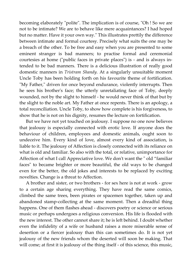becoming elaborately "polite". The implication is of course, "Oh ! So we are not to be intimate? We are to behave like mere acquaintances? I had hoped but no matter. Have it your own way." This illustrates prettily the difference between intimate and formal courtesy. Precisely what suits the one may be a breach of the other. To be free and easy when you are presented to some eminent stranger is bad manners; to practise formal and ceremonial courtesies at home ("public faces in private places") is - and is always intended to be bad manners. There is a delicious illustration of really good domestic manners in Tristram Shandy. At a singularly unsuitable moment Uncle Toby has been holding forth on his favourite theme of fortification. "My Father," driven for once beyond endurance, violently interrupts. Then he sees his brother's face; the utterly unretaliating face of Toby, deeply wounded, not by the slight to himself - he would never think of that but by the slight to the noble art. My Father at once repents. There is an apology, a total reconciliation. Uncle Toby, to show how complete is his forgiveness, to show that he is not on his dignity, resumes the lecture on fortification.

But we have not yet touched on jealousy. I suppose no one now believes that jealousy is especially connected with erotic love. If anyone does the behaviour of children, employees and domestic animals, ought soon to undeceive him. Every kind of love, almost every kind of association, is liable to it. The jealousy of Affection is closely connected with its reliance on what is old and familiar. So also with the total, or relative, unimportance for Affection of what I call Appreciative love. We don't want the " old "familiar faces" to became brighter or more beautiful, the old ways to be changed even for the better, the old jokes and interests to be replaced by exciting novelties. Change is a threat to Affection.

A brother and sister, or two brothers - for sex here is not at work - grow to a certain age sharing everything. They have read the same comics, climbed the same trees, been pirates or spacemen together, taken up and abandoned stamp-collecting at the same moment. Then a dreadful thing happens. One of them flashes ahead - discovers poetry or science or serious music or perhaps undergoes a religious conversion. His life is flooded with the new interest. The other cannot share it; he is left behind. I doubt whether even the infidelity of a wife or husband raises a more miserable sense of desertion or a fiercer jealousy than this can sometimes do. It is not yet jealousy of the new friends whom the deserted will soon be making. That will come; at first it is jealousy of the thing itself - of this science, this music,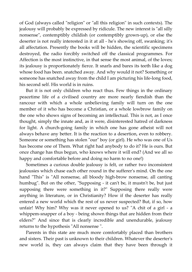of God (always called "religion" or "all this religion" in such contexts). The jealousy will probably be expressed by ridicule. The new interest is "all silly nonsense", contemptibly childish (or contemptibly grown-up), or else the deserter is not really interested in it at all - he's showing off, swanking; it's all affectation. Presently the books will be hidden, the scientific specimens destroyed, the radio forcibly switched off the classical programmes. For Affection is the most instinctive, in that sense the most animal, of the loves; its jealousy is proportionately fierce. It snarls and bares its teeth like a dog whose food has been. snatched away. And why would it not? Something or someone has snatched away from the child I am picturing his life-long food, his second self. His world is in ruins.

But it is not only children who react thus. Few things in the ordinary peacetime life of a civilised country are more nearly fiendish than the rancour with which a whole unbelieving family will turn on the one member of it who has become a Christian, or a whole lowbrow family on the one who shows signs of becoming an intellectual. This is not, as I once thought, simply the innate and, as it were, disinterested hatred of darkness for light. A church-going family in which one has gone atheist will not always behave any better. It is the reaction to a desertion, even to robbery. Someone or something has stolen "our" boy (or girl). He who was one of Us has become one of Them. What right had anybody to do it? He is ours. But once change has thus begun, who knows where it will end? (And we all so happy and comfortable before and doing no harm to no one!)

Sometimes a curious double jealousy is felt, or rather two inconsistent jealousies which chase each other round in the sufferer's mind. On the one hand "This" is "All nonsense, all bloody high-brow nonsense, all canting humbug". But on the other, "Supposing - it can't be, it mustn't be, but just supposing there were something in it?" Supposing there really were anything in literature, or in Christianity? How if the deserter has really entered a new world which the rest of us never suspected? But, if so, how unfair! Why him? Why was it never opened to us? "A chit of a girl - a whippem-snapper of a boy - being shown things that are hidden from their elders?" And since that is clearly incredible and unendurable, jealousy returns to the hypothesis "All nonsense ".

Parents in this state are much more comfortably placed than brothers and sisters. Their past is unknown to their children. Whatever the deserter's new world is, they can always claim that they have been through it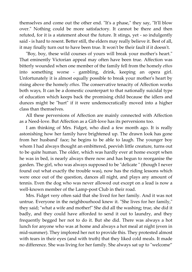themselves and come out the other end. "It's a phase," they say, "It'll blow over." Nothing could be more satisfactory. It cannot be there and then refuted, for it is a statement about the future. It stings, yet - so indulgently said - is hard to resent. Better still, the elders may really believe it. Best of all, it may finally turn out to have been true. It won't be their fault if it doesn't.

"Boy, boy, these wild courses of yours will break your mother's heart." That eminently Victorian appeal may often have been true. Affection was bitterly wounded when one member of the family fell from the homely ethos into something worse - gambling, drink, keeping an opera girl. Unfortunately it is almost equally possible to break your mother's heart by rising above the homely ethos. The conservative tenacity of Affection works both ways, It can be a domestic counterpart to that nationally suicidal type of education which keeps back the promising child because the idlers and dunces might be "hurt" if it were undemocratically moved into a higher class than themselves.

All these perversions of Affection are mainly connected with Affection as a Need-love. But Affection as a Gift-love has its perversions too.

I am thinking of Mrs. Fidget, who died a few month ago. It is really astonishing how her family have brightened up. The drawn look has gone from her husband' face; he begins to be able to laugh. The younger boy whom I had always thought an embittered, peevish little creature, turns out to be quite human. The older, which was hardly ever at home except when he was in bed, is nearly always there now and has begun to reorganise the garden. The girl, who was always supposed to be "delicate " (though I never found out what exactly the trouble was), now has the riding lessons which were once out of the question, dances all night, and plays any amount of tennis. Even the dog who was never allowed out except on a lead is now a well-known member of the Lamp-post Club in their road.

Mrs. Fidget very often said that she lived for her family. And it was not untrue. Everyone in the neighbourhood knew it. "She lives for her family," they said; "what a wife and mother!" She did all the washing; true, she did it badly, and they could have afforded to send it out to laundry, and they frequently begged her not to do it. But she did. There was always a hot lunch for anyone who was at home and always a hot meal at night (even in mid-summer). They implored her not to provide this. They protested almost with tears in their eyes (and with truth) that they liked cold meals. It made no difference. She was living for her family. She always sat up to "welcome"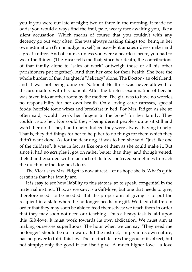you if you were out late at night; two or three in the morning, it made no odds; you would always find the frail, pale, weary face awaiting you, like a silent accusation. Which means of course that you couldn't with any decency go out very often. She was always making things too; being in her own estimation (I'm no judge myself) an excellent amateur dressmaker and a great knitter. And of course, unless you were a heartless brute, you had to wear the things. (The Vicar tells me that, since her death, the contributions of that family alone to "sales of work" outweigh those of all his other parishioners put together). And then her care for their health! She bore the whole burden of that daughter's "delicacy" alone. The Doctor - an old friend, and it was not being done on National Health - was never allowed to discuss matters with his patient. After the briefest examination of her, he was taken into another room by the mother. The girl was to have no worries, no responsibility for her own health. Only loving care; caresses, special foods, horrible tonic wines and breakfast in bed. For Mrs. Fidget, as she so often said, would "work her fingers to the bone" for her family. They couldn't stop her. Nor could they - being decent people - quite sit still and watch her do it. They had to help. Indeed they were always having to help. That is, they did things for her to help her to do things for them which they didn't want done. As for the dear dog, it was to her, she said, "just like one of the children". It was in fact as like one of them as she could make it. But since it had no scruples it got on rather better than they, and though vetted, dieted and guarded within an inch of its life, contrived sometimes to reach the dustbin or the dog next door.

The Vicar says Mrs. Fidget is now at rest. Let us hope she is. What's quite certain is that her family are.

It is easy to see how liability to this state is, so to speak, congenital in the maternal instinct. This, as we saw, is a Gift-love, but one that needs to give; therefore needs to be needed. But the proper aim of giving is to put the recipient in a state where he no longer needs our gift. We feed children in order that they may soon be able to feed themselves; we teach them in order that they may soon not need our teaching. Thus a heavy task is laid upon this Gift-love. It must work towards its own abdication. We must aim at making ourselves superfluous. The hour when we can say "They need me no longer" should be our reward. But the instinct, simply in its own nature, has no power to fulfil this law. The instinct desires the good of its object, but not simply; only the good it can itself give. A much higher love - a love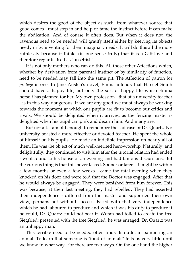which desires the good of the object as such, from whatever source that good comes - must step in and help or tame the instinct before it can make the abdication. And of course it often does. But when it does not, the ravenous need to be needed will gratify itself either by keeping its objects needy or by inventing for them imaginary needs. It will do this all the more ruthlessly because it thinks (in one sense truly) that it is a Gift-love and therefore regards itself as "unselfish".

It is not only mothers who can do this. All those other Affections which, whether by derivation from parental instinct or by similarity of function, need to be needed may fall into the same pit. The Affection of patron for protege is one. In Jane Austen's novel, Emma intends that Harriet Smith should have a happy life; but only the sort of happy life which Emma herself has planned for her. My own profession - that of a university teacher - is in this way dangerous. If we are any good we must always be working towards the moment at which our pupils are fit to become our critics and rivals. We should be delighted when it arrives, as the fencing master is delighted when his pupil can pink and disarm him. And many are.

But not all. I am old enough to remember the sad case of Dr. Quartz. No university boasted a more effective or devoted teacher. He spent the whole of himself on his pupils. He made an indelible impression on nearly all of them. He was the object of much well-merited hero-worship. Naturally, and delightfully, they continued to visit him after the tutorial relation had ended - went round to his house of an evening and had famous discussions. But the curious thing is that this never lasted. Sooner or later - it might be within a few months or even a few weeks - came the fatal evening when they knocked on his door and were told that the Doctor was engaged. After that he would always be engaged. They were banished from him forever. This was because, at their last meeting, they had rebelled. They had asserted their independence - differed from the master and supported their own view, perhaps not without success. Faced with that very independence which he had laboured to produce and which it was his duty to produce if he could, Dr. Quartz could not bear it. Wotan had toiled to create the free Siegfried; presented with the free Siegfried, he was enraged. Dr. Quartz was an unhappy man.

This terrible need to be needed often finds its outlet in pampering an animal. To learn that someone is "fond of animals" tells us very little until we know in what way. For there are two ways. On the one hand the higher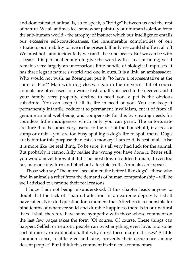and domesticated animal is, so to speak, a "bridge" between us and the rest of nature. We all at times feel somewhat painfully our human isolation from the sub-human world - the atrophy of instinct which our intelligence entails, our excessive self-consciousness, the innumerable complexities of our situation, our inability to live in the present. If only we could shuffle it all off! We must not - and incidentally we can't - become beasts. But we can be with a beast. It is personal enough to give the word with a real meaning; yet it remains very largely an unconscious little bundle of biological impulses. It has three legs in nature's world and one in ours. It is a link, an ambassador. Who would not wish, as Bosanquet put it, "to have a representative at the court of Pan"? Man with dog closes a gap in the universe. But of course animals are often used in a worse fashion. If you need to be needed and if your family, very properly, decline to need you, a pet is the obvious substitute. You can keep it all its life in need of you. You can keep it permanently infantile, reduce it to permanent invalidism, cut it of from all genuine animal well-being, and compensate for this by creating needs for countless little indulgences which only you can grant. The unfortunate creature thus becomes very useful to the rest of the household; it acts as a sump or drain - you are too busy spoiling a dog's life to spoil theirs. Dog's are better for this purpose than cats: a monkey, I am told, is best of all. Also it is more like the real thing. To be sure, it's all very had luck for the animal. But probably it cannot fully realise the wrong you have done it. Better still, you would never know if it did. The most down-trodden human, driven too far, may one day turn and blurt out a terrible truth. Animals can't speak.

Those who say "The more I see of men the better I like dogs" - those who find in animals a relief from the demands of human companionship - will be well advised to examine their real reasons.

I hope I am not being misunderstood. If this chapter leads anyone to doubt that the lack of "natural affection" is an extreme depravity I shall have failed. Nor do I question for a moment that Affection is responsible for nine-tenths of whatever solid and durable happiness there is in our natural lives. I shall therefore have some sympathy with those whose comment on the last few pages takes the form "Of course. Of course. These things can happen. Selfish or neurotic people can twist anything even love, into some sort of misery or exploitation. But why stress these marginal cases? A little common sense, a little give and take, prevents their occurrence among decent people:" But I think this comment itself needs commentary.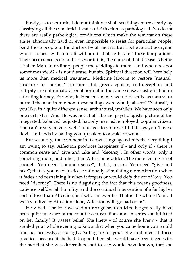Firstly, as to neurotic. I do not think we shall see things more clearly by classifying all these maleficial states of Affection as pathological. No doubt there are really pathological conditions which make the temptation these states abnormally hard or even impossible to resist for particular people. Send those people to the doctors by all means. But I believe that everyone who is honest with himself will admit that he has felt these temptations. Their occurrence is not a disease; or if it is, the name of that disease is Being a Fallen Man. In ordinary people the yieldings to them - and who does not sometimes yield? - is not disease, but sin. Spiritual direction will here help us more than medical treatment. Medicine labours to restore "natural" structure or "normal" function. But greed, egoism, self-deception and self-pity are not unnatural or abnormal in the same sense as astigmation or a floating kidney. For who, in Heaven's name, would describe as natural or normal the man from whom these failings were wholly absent? "Natural", if you like, in a quite different sense; archnatural, unfallen. We have seen only one such Man. And He was not at all like the psychologist's picture of the integrated, balanced, adjusted, happily married, employed, popular citizen. You can't really be very well "adjusted" to your world if it says you "have a devil" and ends by nailing you up naked to a stake of wood.

But secondly, the comment in its own language admits the very thing I am trying to say. Affection produces happiness if - and only if - there is common sense and give and take and "decency". In other words, only if something more, and other, than Affection is added. The mere feeling is not enough. You need "common sense", that is, reason. You need "give and take"; that is, you need justice, continually stimulating mere Affection when it fades and restraining it when it forgets or would defy the art of love. You need "decency". There is no disguising the fact that this means goodness; patience, selfdenial, humility, and the continual intervention of a far higher sort of love than Affection, in itself, can ever be. That is the whole Point. If we try to live by Affection alone, Affection will "go bad on us".

How bad, I believe we seldom recognise. Can Mrs. Fidget really have been quite unaware of the countless frustrations and miseries she inflicted on her family? It passes belief. She knew - of course she knew - that it spoiled your whole evening to know that when you came home you would find her uselessly, accusingly; "sitting up for you". She continued all these practices because if she had dropped them she would have been faced with the fact that she was determined not to see; would have known, that she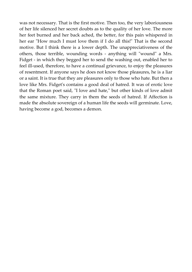was not necessary. That is the first motive. Then too, the very laboriousness of her life silenced her secret doubts as to the quality of her love. The more her feet burned and her back ached, the better, for this pain whispered in her ear "How much I must love them if I do all this!" That is the second motive. But I think there is a lower depth. The unappreciativeness of the others, those terrible, wounding words - anything will "wound" a Mrs. Fidget - in which they begged her to send the washing out, enabled her to feel ill-used, therefore, to have a continual grievance, to enjoy the pleasures of resentment. If anyone says he does not know those pleasures, he is a liar or a saint. It is true that they are pleasures only to those who hate. But then a love like Mrs. Fidget's contains a good deal of hatred. It was of erotic love that the Roman poet said, "I love and hate," but other kinds of love admit the same mixture. They carry in them the seeds of hatred. If Affection is made the absolute sovereign of a human life the seeds will germinate. Love, having become a god, becomes a demon.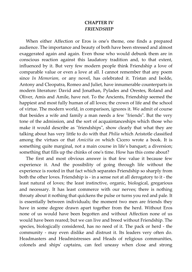## CHAPTER IV **FRIENDSHIP**

When either Affection or Eros is one's theme, one finds a prepared audience. The importance and beauty of both have been stressed and almost exaggerated again and again. Even those who would debunk them are in conscious reaction against this laudatory tradition and, to that extent, influenced by it. But very few modern people think Friendship a love of comparable value or even a love at all. I cannot remember that any poem since In Memoriam, or any novel, has celebrated it. Tristan and Isolde, Antony and Cleopatra, Romeo and Juliet, have innumerable counterparts in modern literature: David and Jonathan, Pylades and Orestes, Roland and Oliver, Amis and Amile, have not. To the Ancients, Friendship seemed the happiest and most fully human of all loves; the crown of life and the school of virtue. The modern world, in comparison, ignores it. We admit of course that besides a wife and family a man needs a few "friends". But the very tone of the admission, and the sort of acquaintanceships which those who make it would describe as "friendships", show clearly that what they are talking about has very little to do with that Philia which Aristotle classified among the virtues or that Amicitia on which Cicero wrote a book. It is something quite marginal, not a main course in life's banquet; a diversion; something that fills up the chinks of one's time. How has this come about?

The first and most obvious answer is that few value it because few experience it. And the possibility of going through life without the experience is rooted in that fact which separates Friendship so sharply from both the other loves. Friendship is - in a sense not at all derogatory to it - the least natural of loves; the least instinctive, organic, biological, gregarious and necessary. It has least commerce with our nerves; there is nothing throaty about it nothing that quickens the pulse or turns you red and pale. It is essentially between individuals; the moment two men are friends they have in some degree drawn apart together from the herd. Without Eros none of us would have been begotten and without Affection none of us would have been reared; but we can live and breed without Friendship. The species, biologically considered, has no need of it. The pack or herd - the community - may even dislike and distrust it. Its leaders very often do. Headmasters and Headmistresses and Heads of religious communities, colonels and ships' captains, can feel uneasy when close and strong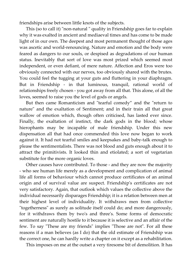friendships arise between little knots of the subjects.

This (so to call it) "non-natural " quality in Friendship goes far to explain why it was exalted in ancient and mediaeval times and has come to be made light of in our own. The deepest and most permanent thought of those ages was ascetic and world-renouncing. Nature and emotion and the body were feared as dangers to our souls, or despised as degradations of our human status. Inevitably that sort of love was most prized which seemed most independent, or even defiant, of mere nature. Affection and Eros were too obviously connected with our nerves, too obviously shared with the brutes. You could feel the tugging at your guts and fluttering in your diaphragm. But in Friendship - in that luminous, tranquil, rational world of relationships freely chosen - you got away from all that. This alone, of all the loves, seemed to raise you the level of gods or angels.

But then came Romanticism and "tearful comedy" and the "return to nature" and the exaltation of Sentiment; and in their train all that great wallow of emotion which, though often criticised, has lasted ever since. Finally, the exaltation of instinct, the dark gods in the blood; whose hierophants may be incapable of male friendship. Under this new dispensation all that had once commended this love now began to work against it. It had not tearful smiles and keepsakes and baby-talk enough to please the sentimentalists. There was not blood and guts enough about it to attract the primitivists. It looked thin and etiolated; a sort of vegetarian substitute for the more organic loves.

Other causes have contributed. To those - and they are now the majority - who see human life merely as a development and complication of animal life all forms of behaviour which cannot produce certificates of an animal origin and of survival value are suspect. Friendship's certificates are not very satisfactory. Again, that outlook which values the collective above the individual necessarily disparages Friendship; it is a relation between men at their highest level of individuality. It withdraws men from collective "togetherness" as surely as solitude itself could do; and more dangerously, for it withdraws them by two's and three's. Some forms of democratic sentiment are naturally hostile to it because it is selective and an affair of the few. To say "These are my friends" implies "Those are not". For all these reasons if a man believes (as I do) that the old estimate of Friendship was the correct one, he can hardly write a chapter on it except as a rehabilitation.

This imposes on me at the outset a very tiresome bit of demolition. It has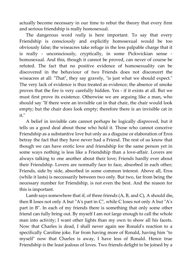actually become necessary in our time to rebut the theory that every firm and serious friendship is really homosexual.

The dangerous word *really* is here important. To say that every Friendship is consciously and explicitly homosexual would be too obviously false; the wiseacres take refuge in the less palpable charge that it is really - unconsciously, cryptically, in some Pickwickian sense homosexual. And this, though it cannot be proved, can never of course be refuted. The fact that no positive evidence of homosexuality can be discovered in the behaviour of two Friends does not disconcert the wiseacres at all: "That", they say gravely, "is just what we should expect." The very lack of evidence is thus treated as evidence; the absence of smoke proves that the fire is very carefully hidden. Yes - if it exists at all. But we must first prove its existence. Otherwise we are arguing like a man, who should say "If there were an invisible cat in that chair, the chair would look empty; but the chair does look empty; therefore there is an invisible cat in it."

A belief in invisible cats cannot perhaps be logically disproved, but it tells us a good deal about those who hold it. Those who cannot conceive Friendship as a substantive love but only as a disguise or elaboration of Eros betray the fact that they have never had a Friend. The rest of us know that though we can have erotic love and friendship for the same person yet in some ways nothing is less like a Friendship than a love-affair. Lovers are always talking to one another about their love; Friends hardly ever about their Friendship. Lovers are normally face to face, absorbed in each other; Friends, side by side, absorbed in some common interest. Above all, Eros (while it lasts) is neccessarily between two only. But two, far from being the necessary number for Friendship, is not even the best. And the reason for this is important.

Lamb says somewhere that if, of three friends (A, B, and C), A should die, then B loses not only A but "A's part in C", while C loses not only A but "A's part in B". In each of my friends there is something that only some other friend can fully bring out. By myself I am not large enough to call the whole man into activity; I want other lights than my own to show all his facets. Now that Charles is dead, I shall never again see Ronald's reaction to a specifically Caroline joke. Far from having more of Ronald, having him "to myself" now that Charles is away, I have less of Ronald. Hence true Friendship is the least jealous of loves. Two friends delight to be joined by a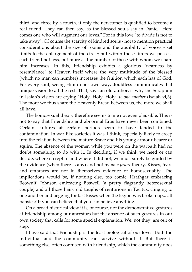third, and three by a fourth, if only the newcomer is qualified to become a real friend. They can then say, as the blessed souls say in Dante, "Here comes one who will augment our loves." For in this love "to divide is not to take away". Of course the scarcity of kindred souls - not to mention practical considerations about the size of rooms and the audibility of voices - set limits to the enlargement of the circle; but within those limits we possess each friend not less, but more as the number of those with whom we share him increases. In this, Friendship exhibits a glorious "nearness by resemblance" to Heaven itself where the very multitude of the blessed (which no man can number) increases the fruition which each has of God. For every soul, seeing Him in her own way, doubtless communicates that unique vision to all the rest. That, says an old author, is why the Seraphim in Isaiah's vision are crying "Holy, Holy, Holy" to one another (Isaiah vi,3). The more we thus share the Heavenly Bread between us, the more we shall all have.

The homosexual theory therefore seems to me not even plausible. This is not to say that Friendship and abnormal Eros have never been combined. Certain cultures at certain periods seem to have tended to the contamination. In war-like societies it was, I think, especially likely to creep into the relation between the mature Brave and his young armour-bearer or squire. The absence of the women while you were on the warpath had no doubt something to do with it. In deciding, if we think we need or can decide, where it crept in and where it did not, we must surely be guided by the evidence (when there is any) and not by an a priori theory. Kisses, tears and embraces are not in themselves evidence of homosexuality. The implications would be, if nothing else, too comic. Hrathgar embracing Beowulf, Johnson embracing Boswell (a pretty flagrantly heterosexual couple) and all those hairy old toughs of centurions in Tacitus, clinging to one another and begging for last kisses when the legion was broken up... all pansies? If you can believe that you can believe anything.

On a broad historical view it is, of course, not the demonstrative gestures af Friendship among our ancestors but the absence of such gestures in our own society that calls for some special explanation. We, not they, are out of step.

I have said that Friendship is the least biological of our loves. Both the individual and the community can survive without it. But there is something else, often confused with Friendship, which the community does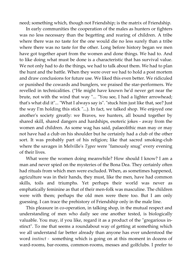need; something which, though not Friendship; is the matrix of Friendship.

In early communities the cooperation of the males as hunters or fighters was no less necessary than the begetting and rearing of children. A tribe where there was no taste for the one would die no less surely than a tribe where there was no taste for the other. Long before history began we men have got together apart from the women and done things. We had to. And to like doing what must be done is a characteristic that has survival value. We not only had to do the things, we had to talk about them. We had to plan the hunt and the battle. When they were over we had to hold a post mortem and draw conclusions for future use. We liked this even better. We ridiculed or punished the cowards and bunglers, we praised the star-performers. We revelled in technicalities. ("He might have known he'd never get near the brute, not with the wind that way "... "You see, I had a lighter arrowhead; that's what did it"... "What I always say is". "stuck him just like that, see? Just the way I'm holding this stick "...). In fact, we talked shop. We enjoyed one another's society greatly: we Braves, we hunters, all bound together by shared skill, shared dangers and hardships, esoteric jokes - away from the women and children. As some wag has said, palaeolithic man may or may not have had a club on his shoulder but he certainly had a club of the other sort. It was probably part of his religion; like that sacred smoking-club where the savages in Melville's Typee were "famously snug" every evening of their lives.

What were the women doing meanwhile? How should I know? I am a man and never spied on the mysteries of the Bona Dea. They certainly often had rituals from which men were excluded. When, as sometimes happened, agriculture was in their hands, they must, like the men, have had common skills, toils and triumphs. Yet perhaps their world was never as emphatically feminine as that of their men-folk was masculine. The children were with them; perhaps the old men were there too. But I am only guessing. I can trace the prehistory of Friendship only in the male line.

This pleasure in co-operation, in talking shop, in the mutual respect and understanding of men who daily see one another tested, is biologically valuable. You may, if you like, regard it as a product of the "gregarious instinct". To me that seems a roundabout way of getting at something which we all understand far better already than anyone has ever understood the word instinct - something which is going on at this moment in dozens of ward-rooms, bar-rooms, common-rooms, messes and golfclubs. I prefer to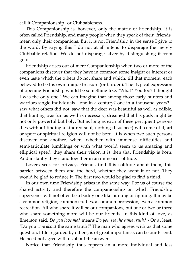call it Companionship--or Clubbableness.

This Companionship is, however, only the matrix of Friendship. It is often called Friendship, and many people when they speak of their "friends" mean only their companions. But it is not Friendship in the sense I give to the word. By saying this I do not at all intend to disparage the merely Clubbable relation. We do not disparage silver by distinguishing it from gold.

Friendship arises out of mere Companionship when two or more of the companions discover that they have in common some insight or interest or even taste which the others do not share and which, till that moment, each believed to be his own unique treasure (or burden). The typical expression of opening Friendship would be something like, "What? You too? I thought I was the only one." We can imagine that among those early hunters and warriors single individuals - one in a century? one in a thousand years? saw what others did not; saw that the deer was beautiful as well as edible, that hunting was fun as well as necessary, dreamed that his gods might be not only powerful but holy. But as long as each of these percipient persons dies without finding a kindred soul, nothing (I suspect) will come of it; art or sport or spiritual religion will not be born. It is when two such persons discover one another, when, whether with immense difficulties and semi-articulate fumblings or with what would seem to us amazing and elliptical speed, they share their vision it is then that Friendship is born. And instantly they stand together in an immense solitude.

Lovers seek for privacy. Friends find this solitude about them, this barrier between them and the herd, whether they want it or not. They would be glad to reduce it. The first two would be glad to find a third.

In our own time Friendship arises in the same way. For us of course the shared activity and therefore the companionship on which Friendship supervenes will not often be a bodily one like hunting or fighting. It may be a common religion, common studies, a common profession, even a common recreation. All who share it will be our companions; but one or two or three who share something more will be our Friends. In this kind of love, as Emerson said, Do you love me? means Do you see the same truth? - Or at least, "Do you care about the same truth?" The man who agrees with us that some question, little regarded by others, is of great importance, can be our Friend. He need not agree with us about the answer.

Notice that Friendship thus repeats an a more individual and less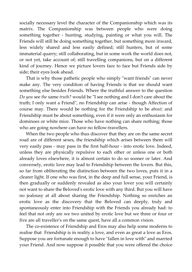socially necessary level the character of the Companionship which was its matrix. The Companionship was between people who were doing something together - hunting, studying, painting or what you will. The Friends will still be doing something together, but something more inward, less widely shared and less easily defined; still hunters, but of some immaterial quarry; still collaborating, but in some work the world does not, or not yet, take account of; still travelling companions, but on a different kind of journey. Hence we picture lovers face to face but Friends side by side; their eyes look ahead.

That is why those pathetic people who simply "want friends" can never make any. The very condition of having Friends is that we should want something else besides Friends. Where the truthful answer to the question Do you see the same truth? would be "I see nothing and I don't care about the truth; I only want a Friend", no Friendship can arise - though Affection of course may. There would be nothing for the Friendship to be about; and Friendship must be about something, even if it were only an enthusiasm for dominoes or white mice. Those who have nothing can share nothing; those who are going nowhere can have no fellow-travellers.

When the two people who thus discover that they are on the same secret road are of different sexes, the friendship which arises between them will very easily pass - may pass in the first half-hour - into erotic love. Indeed, unless they are physically repulsive to each other or unless one or both already loves elsewhere, it is almost certain to do so sooner or later. And conversely, erotic love may lead to Friendship between the lovers. But this, so far from obliterating the distinction between the two loves, puts it in a clearer light. If one who was first, in the deep and full sense, your Friend, is then gradually or suddenly revealed as also your lover you will certainly not want to share the Beloved's erotic love with any third. But you will have no jealousy at all about sharing the Friendship. Nothing so enriches an erotic love as the discovery that the Beloved can deeply, truly and spontaneously enter into Friendship with the Friends you already had: to feel that not only are we two united by erotic love but we three or four or five are all traveller's on the same quest, have all a common vision.

The co-existence of Friendship and Eros may also help some moderns to realise that Friendship is in reality a love, and even as great a love as Eros. Suppose you are fortunate enough to have "fallen in love with" and married your Friend. And now suppose it possible that you were offered the choice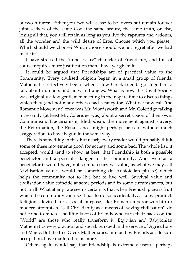of two futures: "Either you two will cease to be lovers but remain forever joint seekers of the same God, the same beauty, the same truth, or else, losing all that, you will retain as long as you live the raptures and ardours, all the wonder and the wild desire of Eros. Choose which you please." Which should we choose? Which choice should we not regret after we had made it?

I have stressed the "unnecessary" character of Friendship, and this of course requires more justification than I have yet given it.

It could be argued that Friendships are of practical value to the Community. Every civilised religion began in a small group of friends. Mathematics effectively began when a few Greek friends got together to talk about numbers and lines and angles. What is now the Royal Society was originally a few gentlemen meeting in their spare time to discuss things which they (and not many others) had a fancy for. What we now call "the Romantic Movement" once was Mr. Wordsworth and Mr. Coleridge talking incessantly (at least Mr. Coleridge was) about a secret vision of their own. Communism, Tractarianism, Methodism, the movement against slavery, the Reformation, the Renaissance, might perhaps be said without much exaggeration, to have begun in the same way.

There is something in this. But nearly every reader would probably think some of these movements good for society and some bad. The whole list, if accepted, would tend to show, at best, that Friendship is both a possible benefactor and a possible danger to the community. And even as a benefactor it would have, not so much survival value, as what we may call "civilisation value"; would be something (in Aristotelian phrase) which helps the community not to live but to live well. Survival value and civilisation value coincide at some periods and in some circumstances, but not in all. What at any rate seems certain is that when Friendship bears fruit which the community can use it has to do so accidentally, as a by-product. Religions devised for a social purpose, like Roman emperor-worship or modern attempts to "sell Christianity as a means of "saving civilisation", do not come to much. The little knots of Friends who turn their backs on the "World" are those who really transform it. Egyptian and Babylonian Mathematics were practical and social, pursued in the service of Agriculture and Magic. But the free Greek Mathematics, pursued by Friends as a leisure occupation, have mattered to us more.

Others again would say that Friendship is extremely useful, perhaps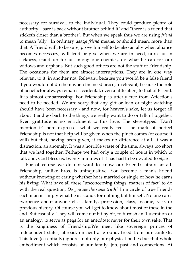necessary for survival, to the individual. They could produce plenty of authority: "bare is back without brother behind it" and "there is a friend that sticketh closer than a brother". But when we speak thus we are using friend to mean "ally". In ordinary usage friend means, or should mean, more than that. A Friend will, to be sure, prove himself to be also an ally when alliance becomes necessary; will lend or give when we are in need, nurse us in sickness, stand up for us among our enemies, do what he can for our widows and orphans. But such good offices are not the stuff of Friendship. The occasions for them are almost interruptions. They are in one way relevant to it, in another not. Relevant, because you would be a false friend if you would not do them when the need arose; irrelevant, because the role of benefactor always remains accidental, even a little alien, to that of Friend. It is almost embarrassing. For Friendship is utterly free from Affection's need to be needed. We are sorry that any gift or loan or night-watching should have been necessary - and now, for heaven's sake, let us forget all about it and go back to the things we really want to do or talk of together. Even gratitude is no enrichment to this love. The stereotyped "Don't mention it" here expresses what we really feel. The mark of perfect Friendship is not that help will be given when the pinch comes (of course it will) but that, having been given, it makes no difference at all. It was a distraction, an anomaly. It was a horrible waste of the time, always too short, that we had together. Perhaps we had only a couple of hours in which to talk and, God bless us, twenty minutes of it has had to be devoted to affairs.

For of course we do not want to know our Friend's affairs at all. Friendship, unlike Eros, is uninquisitive. You become a man's Friend without knowing or caring whether he is married or single or how he earns his living. What have all these "unconcerning things, matters of fact" to do with the real question, Do you see the same truth? In a circle of true Friends each man is simply what he is: stands for nothing but himself. No one cares twopence about anyone else's family, profession, class, income, race, or previous history. Of course you will get to know about most of these in the end. But casually. They will come out bit by bit, to furnish an illustration or an analogy, to serve as pegs for an anecdote; never for their own sake. That is the kingliness of Friendship.We meet like sovereign princes of independent states, abroad, on neutral ground, freed from our contexts. This love (essentially) ignores not only our physical bodies but that whole embodiment which consists of our family, job, past and connections. At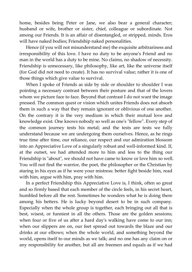home, besides being Peter or Jane, we also bear a general character; husband or wife, brother or sister, chief, colleague or subordinate. Not among our Friends. It is an affair of disentangled, or stripped, minds. Eros will have naked bodies; Friendship naked personalities.

Hence (if you will not misunderstand me) the exquisite arbitrariness and irresponsibility of this love. I have no duty to be anyone's Friend and no man in the world has a duty to be mine. No claims, no shadow of necessity. Friendship is unnecessary, like philosophy, like art, like the universe itself (for God did not need to create). It has no survival value; rather it is one of those things which give value to survival.

When I spoke of Friends as side by side or shoulder to shoulder I was pointing a necessary contrast between their posture and that of the lovers whom we picture face to face. Beyond that contrast I do not want the image pressed. The common quest or vision which unites Friends does not absorb them in such a way that they remain ignorant or oblivious of one another. On the contrary it is the very medium in which their mutual love and knowledge exist. One knows nobody so well as one's "fellow". Every step of the common journey tests his metal; and the tests are tests we fully understand because we are undergoing them ourselves. Hence, as he rings true time after time, our reliance, our respect and our admiration blossom into an Appreciative Love of a singularly robust and well-informed kind. If, at the outset, we had attended more to him and less to the thing our Friendship is "about", we should not have came to know or love him so well. You will not find the warrior, the poet, the philosopher or the Christian by staring in his eyes as if he were your mistress: better fight beside him, read with him, argue with him, pray with him.

In a perfect Friendship this Appreciative Love is, I think, often so great and so firmly based that each member of the circle feels, in his secret heart, humbled before all the rest. Sometimes he wonders what he is doing there among his betters. He is lucky beyond desert to be in such company. Especially when the whole group is together, each bringing out all that is best, wisest, or funniest in all the others. Those are the golden sessions; when four or five of us after a hard day's walking have come to our inn; when our slippers are on, our feet spread out towards the blaze and our drinks at our elbows; when the whole world, and something beyond the world, opens itself to our minds as we talk; and no one has any claim on or any responsibility for another, but all are freemen and equals as if we had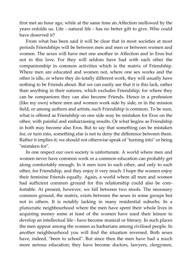first met an hour ago, while at the same time an Affection mellowed by the years enfolds us. Life - natural life - has no better gift to give. Who could have deserved it?

From what has been said it will be clear that in most societies at most periods Friendships will be between men and men or between women and women. The sexes will have met one another in Affection and in Eros but not in this love. For they will seldom have had with each other the companionship in common activities which is the matrix of Friendship. Where men are educated and women not, where one sex works and the other is idle, or where they do totally different work, they will usually have nothing to be Friends about. But we can easily see that it is this lack, rather than anything in their natures, which excludes Friendship; for where they can be companions they can also become Friends. Hence in a profession (like my own) where men and women work side by side, or in the mission field, or among authors and artists, such Friendship is common. To be sure, what is offered as Friendship on one side may be mistaken for Eros on the other, with painful and embarrassing results. Or what begins as Friendship in both may become also Eros. But to say that something can be mistaken for, or turn into, something else is not to deny the difference between them. Rather it implies it; we should not otherwise speak of "turning into" or being "mistaken for".

In one respect our own society is unfortunate. A world where men and women never have common work or a common education can probably get along comfortably enough. In it men turn to each other, and only to each other, for Friendship, and they enjoy it very much. I hope the women enjoy their feminine Friends equally. Again, a world where all men and women had sufficient common ground for this relationship could also be comfortable. At present, however, we fall between two stools. The necessary common ground, the matrix, exists between the sexes in some groups but not in others. It is notably lacking in many residential suburbs. In a plutocratic neighbourhood where the men have spent their whole lives in acquiring money some at least of the women have used their leisure to develop an intellectual life - have become musical or literary. In such places the men appear among the women as barbarians among civilised people. In another neighbourhood you will find the situation reversed. Both sexes have, indeed, "been to school". But since then the men have had a much more serious education; they have become doctors, lawyers, clergymen,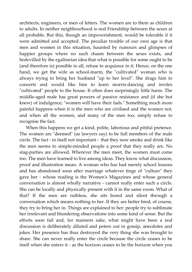architects, engineers, or men of letters. The women are to them as children to adults. In neither neighbourhood is real Friendship between the sexes at all probable. But this, though an impoverishment, would be tolerable if it were admitted and accepted. The peculiar trouble of our own age is that men and women in this situation, haunted by rumours and glimpses of happier groups where no such chasm between the sexes exists, and bedevilled by the egalitarian idea that what is possible for some ought to be (and therefore is) possible to all, refuse to acquiesce in it. Hence, on the one hand, we get the wife as school-marm, the "cultivated" woman who is always trying to bring her husband "up to her level". She drags him to concerts and would like him to learn morris-dancing and invites "cultivated" people to the house. It often does surprisingly little harm. The middle-aged male has great powers of passive resistance and (if she but knew) of indulgence; "women will have their fads." Something much more painful happens when it is the men who are civilised and the women not, and when all the women, and many of the men too, simply refuse to recognise the fact.

When this happens we get a kind, polite, laborious and pitiful pretence. The women are "deemed" (as lawyers say) to be full members of the male circle. The fact - in itself not important - that they now smoke and drink like the men seems to simple-minded people a proof that they really are. No stag-parties are allowed. Wherever the men meet, the women must come too. The men have learned to live among ideas. They know what discussion, proof and illustration mean. A woman who has had merely school lessons and has abandoned soon after marriage whatever tinge of "culture" they gave her - whose reading is the Women's Magazines and whose general conversation is almost wholly narrative - cannot really enter such a circle. She can be locally and physically present with it in the same room. What of that? If the men are ruthless, she sits bored and silent through a conversation which means nothing to her. If they are better bred, of course, they try to bring her in. Things are explained to her: people try to sublimate her irrelevant and blundering observations into some kind of sense. But the efforts soon fail and, for manners sake, what might have been a real discussion is deliberately diluted and peters out in gossip, anecdotes and jokes. Her presence has thus destroyed the very thing she was brought to share. She can never really enter the circle because the circle ceases to be itself when she enters it - as the horizon ceases to be the horizon when you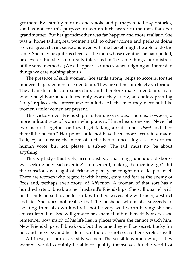get there. By learning to drink and smoke and perhaps to tell risqué stories, she has not, for this purpose, drawn an inch nearer to the men than her grandmother. But her grandmother was far happier and more realistic. She was at home talking real women's talk to other women and perhaps doing so with great charm, sense and even wit. She herself might be able to do the same. She may be quite as clever as the men whose evening she has spoiled, or cleverer. But she is not really interested in the same things, nor mistress of the same methods. (We all appear as dunces when feigning an interest in things we care nothing about.)

The presence of such women, thousands strong, helps to account for the modern disparagement of Friendship. They are often completely victorious. They banish male companionship, and therefore male Friendship, from whole neighbourhoods. In the only world they know, an endless prattling "Jolly" replaces the intercourse of minds. All the men they meet talk like women while women are present.

This victory over Friendship is often unconscious. There is, however, a more militant type of woman who plans it. I have heard one say "Never let two men sit together or they'll get talking about some subject and then there'll be no fun." Her point could not have been more accurately made. Talk, by all means; the more of it the better; unceasing cascades of the human voice; but not, please, a subject. The talk must not be about anything.

This gay lady - this lively, accomplished, "charming", unendurable bore was seeking only each evening's amusement, making the meeting "go". But the conscious war against Friendship may be fought on a deeper level. There are women who regard it with hatred, envy and fear as the enemy of Eros and, perhaps even more, of Affection. A woman of that sort has a hundred arts to break up her husband's Friendships. She will quarrel with his Friends herself or, better still, with their wives. She will sneer, abstruct and lie. She does not realise that the husband whom she succeeds in isolating from his own kind will not be very well worth having; she has emasculated him. She will grow to be ashamed of him herself. Nor does she remember how much of his life lies in places where she cannot watch him. New Friendships will break out, but this time they will be secret. Lucky for her, and lucky beyond her deserts, if there are not soon other secrets as well.

All these, of course, are silly women. The sensible women who, if they wanted, would certainly be able to qualify themselves for the world of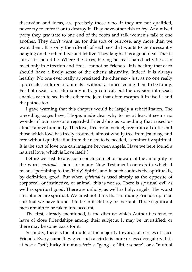discussion and ideas, are precisely those who, if they are not qualified, never try to enter it or to destroy it. They have other fish to fry. At a mixed party they gravitate to one end of the room and talk women's talk to one another. They don't want us, for this sort of purpose, any more than we want them. It is only the riff-raff of each sex that wants to be incessantly hanging on the other. Live and let live. They laugh at us a good deal. That is just as it should be. Where the sexes, having no real shared activities, can meet only in Affection and Eros - cannot be Friends - it is healthy that each should have a lively sense of the other's absurdity. Indeed it is always healthy. No one ever really appreciated the other sex - just as no one really appreciates children or animals - without at times feeling them to be funny. For both sexes are. Humanity is tragi-comical; but the division into sexes enables each to see in the other the joke that often escapes it in itself - and the pathos too.

I gave warning that this chapter would be largely a rehabilitation. The preceding pages have, I hope, made clear why to me at least it seems no wonder if our ancestors regarded Friendship as something that raised us almost above humanity. This love, free from instinct, free from all duties but those which love has freely assumed, almost wholly free from jealousy, and free without qualification from the need to be needed, is eminently spiritual. It is the sort of love one can imagine between angels. Have we here found a natural love, which is Love itself ?

Before we rush to any such conclusion let us beware of the ambiguity in the word spiritual. There are many New Testament contexts in which it means "pertaining to the (Holy) Spirit", and in such contexts the spiritual is, by definition, good. But when spiritual is used simply as the opposite of corporeal, or instinctive, or animal, this is not so. There is spiritual evil as well as spiritual good. There are unholy, as well as holy, angels. The worst sins of men are spiritual. We must not think that in finding Friendship to be spiritual we have found it to be in itself holy or inerrant. Three significant facts remain to be taken into account.

The first, already mentioned, is the distrust which Authorities tend to have of close Friendships among their subjects. It may be unjustified; or there may be some basis for it.

Secondly, there is the attitude of the majority towards all circles of close Friends. Every name they give such a. circle is more or less derogatory. It is at best a "set"; lucky if not a coterie, a "gang", a "little senate", or a "mutual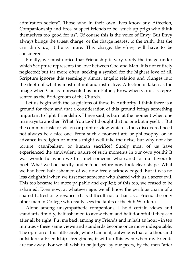admiration society". Those who in their own lives know any Affection, Companionship and Eros, suspect Friends to be "stuck-up prigs who think themselves too good for us". Of course this is the voice of Envy. But Envy always brings the truest charge, or the charge nearest to the truth, that she can think up; it hurts more. This charge, therefore, will have to be considered.

Finally, we must notice that Friendship is very rarely the image under which Scripture represents the love between God and Man. It is not entirely neglected; but far more often, seeking a symbol for the highest love of all, Scripture ignores this seemingly almost angelic relation and plunges into the depth of what is most natural and instinctive. Affection is taken as the image when God is represented as our Father; Eros, when Christ is represented as the Bridegroom of the Church.

Let us begin with the suspicions of those in Authority. I think there is a ground for them and that a consideration of this ground brings something important to light. Friendship, I have said, is born at the moment when one man says to another "What! You too? I thought that no one but myself..." But the common taste or vision or point of view which is thus discovered need not always be a nice one. From such a moment art, or philosophy, or an advance in religion or morals might well take their rise; but why not also torture, cannibalism, or human sacrifice? Surely most of us have experienced the ambivalent nature of such moments in our own youth? It was wonderful when we first met someone who cared for our favourite poet. What we had hardly understood before now took clear shape. What we had been half ashamed of we now freely acknowledged. But it was no less delightful when we first met someone who shared with us a secret evil. This too became far more palpable and explicit; of this too, we ceased to be ashamed. Even now, at whatever age, we all know the perilous charm of a shared hatred or grievance. (It is difficult not to hail as a Friend the only other man in College who really sees the faults of the Sub-Warden.)

Alone among unsympathetic companions, I hold certain views and standards timidly, half ashamed to avow them and half doubtful if they can after all be right. Put me back among my Friends and in half an hour - in ten minutes - these same views and standards become once more indisputable. The opinion of this little circle, while I am in it, outweighs that of a thousand outsiders: a Friendship strengthens, it will do this even when my Friends are far away. For we all wish to be judged by our peers, by the men "after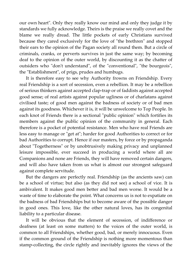our own heart". Only they really know our mind and only they judge it by standards we fully acknowledge. Theirs is the praise we really covet and the blame we really dread. The little pockets of early Christians survived because they cared exclusively for the love of "the brethren" and stopped their ears to the opinion of the Pagan society all round them. But a circle of criminals, cranks, or perverts survives in just the same way; by becoming deaf to the opinion of the outer world, by discounting it as the chatter of outsiders who "don't understand", of the "conventional", "the bourgeois", the "Establishment", of prigs, prudes and humbugs.

It is therefore easy to see why Authority frowns on Friendship. Every real Friendship is a sort of secession, even a rebellion. It may be a rebellion of serious thinkers against accepted clap-trap or of faddists against accepted good sense; of real artists against popular ugliness or of charlatans against civilised taste; of good men against the badness of society or of bad men against its goodness. Whichever it is, it will be unwelcome to Top People. In each knot of Friends there is a sectional "public opinion" which fortifies its members against the public opinion of the community in general. Each therefore is a pocket of potential resistance. Men who have real Friends are less easy to manage or "get at"; harder for good Authorities to correct or for bad Authorities to corrupt. Hence if our masters, by force or by propaganda about "Togetherness" or by unobtrusively making privacy and unplanned leisure impossible, ever succeed in producing a world where all are Companions and none are Friends, they will have removed certain dangers, and will also have taken from us what is almost our strongest safeguard against complete servitude.

But the dangers are perfectly real. Friendship (as the ancients saw) can be a school of virtue; but also (as they did not see) a school of vice. It is ambivalent. It makes good men better and bad men worse. It would be a waste of time to elaborate the point. What concerns us is not to expatiate on the badness of bad Friendships but to become aware of the possible danger in good ones. This love, like the other natural loves, has its congenital liability to a particular disease.

It will be obvious that the element of secession, of indifference or deafness (at least on some matters) to the voices of the outer world, is common to all Friendships, whether good, bad, or merely innocuous. Even if the common ground of the Friendship is nothing more momentous than stamp-collecting, the circle rightly and inevitably ignores the views of the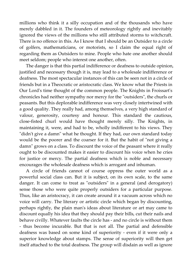millions who think it a silly occupation and of the thousands who have merely dabbled in it. The founders of meteorology rightly and inevitably ignored the views of the millions who still attributed storms to witchcraft. There is no offence in this. As I know that I should be an Outsider to a circle of golfers, mathematicians, or motorists, so I claim the equal right of regarding them as Outsiders to mine. People who hate one another should meet seldom; people who interest one another, often.

The danger is that this partial indifference or deafness to outside opinion, justified and necessary though it is, may lead to a wholesale indifference or deafness. The most spectacular instances of this can be seen not in a circle of friends but in a Theocratic or aristocratic class. We know what the Priests in Our Lord's time thought of the common people. The Knights in Froissart's chronicles had neither sympathy nor mercy for the "outsiders", the churls or peasants. But this deplorable indifference was very closely intertwined with a good quality. They really had, among themselves, a very high standard of valour, generosity, courtesy and honour. This standard the cautious, close-fisted churl would have thought merely silly. The Knights, in maintaining it, were, and had to be, wholly indifferent to his views. They "didn't give a damn" what he thought. If they had, our own standard today would be the poorer and the coarser for it. But the habit of "not giving a damn" grows on a class. To discount the voice of the peasant where it really ought to be discounted makes it easier to discount his voice when he cries for justice or mercy. The partial deafness which is noble and necessary encourages the wholesale deafness which is arrogant and inhuman.

A circle of friends cannot of course oppress the outer world as a powerful social class can. But it is subject, on its own scale, to the same danger. It can come to treat as "outsiders" in a general (and derogatory) sense those who were quite properly outsiders for a particular purpose. Thus, like an aristocracy, it can create around it a vacuum across which no voice will carry. The literary or artistic circle which began by discounting, perhaps rightly, the plain man's ideas about literature or art may came to discount equally his idea that they should pay their bills, cut their nails and behave civilly. Whatever faults the circle has - and no circle is without them - thus become incurable. But that is not all. The partial and defensible deafness was based on some kind of superiority - even if it were only a superior knowledge about stamps. The sense of superiority will then get itself attached to the total deafness. The group will disdain as well as ignore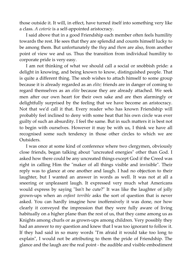those outside it. It will, in effect, have turned itself into something very like a class. A coterie is a self-appointed aristocracy.

I said above that in a good Friendship each member often feels humility towards the rest. He sees that they are splendid and counts himself lucky to be among them. But unfortunately the they and them are also, from another point of view we and us. Thus the transition from individual humility to corporate pride is very easy.

I am not thinking of what we should call a social or snobbish pride: a delight in knowing, and being known to know, distinguished people. That is quite a different thing. The snob wishes to attach himself to some group because it is already regarded as an elite; friends are in danger of coming to regard themselves as an elite because they are already attached. We seek men after our own heart for their own sake and are then alarmingly or delightfully surprised by the feeling that we have become an aristocracy. Not that we'd call it that. Every reader who has known Friendship will probably feel inclined to deny with some heat that his own circle was ever guilty of such an absurdity. I feel the same. But in such matters it is best not to begin with ourselves. However it may be with us, I think we have all recognised some such tendency in those other circles to which we are Outsiders.

I was once at some kind of conference where two clergymen, obviously close friends, began talking about "uncreated energies" other than God. I asked how there could be any uncreated things except God if the Creed was right in calling Him the "maker of all things visible and invisible". Their reply was to glance at one another and laugh. I had no objection to their laughter, but I wanted an answer in words as well. It was not at all a sneering or unpleasant laugh. It expressed very much what Americans would express by saying "Isn't he cute?" It was like the laughter of jolly grown-ups when an enfant terrible asks the sort of question that is never asked. You can hardly imagine how inoffensively it was done, nor how clearly it conveyed the impression that they were fully aware of living habitually on a higher plane than the rest of us, that they came among us as Knights among churls or as grown-ups among children. Very possibly they had an answer to my question and knew that I was too ignorant to follow it. If they had said in so many words "I'm afraid it would take too long to explain", I would not be attributing to them the pride of Friendship. The glance and the laugh are the real point - the audible and visible embodiment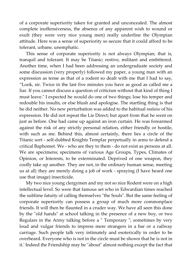of a corporate superiority taken for granted and unconcealed. The almost complete inoffensiveness, the absence of any apparent wish to wound or exult (they were very nice young men) really underline the Olympian attitude. Here was a sense of superiority so secure that it could afford to be tolerant, urbane, unemphatic.

This sense of corporate superiority is not always Olympian; that is, tranquil and tolerant. It may be Titanic; restive, militant and embittered. Another time, when I had been addressing an undergraduate society and some discussion (very properly) followed my paper, a young man with an expression as tense as that of a rodent so dealt with me that I had to say, "Look, sir. Twice in the last five minutes you have as good as called me a liar. If you cannot discuss a question of criticism without that kind of thing I must leave." I expected he would do one of two things; lose his temper and redouble his insults, or else blush and apologise. The startling thing is that he did neither. No new perturbation was added to the habitual malaise of his expression. He did not repeat the Lie Direct; but apart from that he went on just as before. One had came up against an iron curtain. He was forearmed against the risk of any strictly personal relation, either friendly or hostile, with such as me. Behind this, almost certainly, there lies a circle of the Titanic sort - self-dubbed Knights Templar perpetually in arms to defend a critical Baphomet. We - who are they to them - do not exist as persons at all. We are specimens; specimens of various Age Groups, Types, Climates of Opinion, or Interests, to be exterminated. Deprived of one weapon, they coolly take up another. They are not, in the ordinary human sense, meeting us at all; they are merely doing a job of work - spraying (I have heard one use that image) insecticide.

My two nice young clergymen and my not so nice Rodent were on a high intellectual level. So were that famous set who in Edwardian times reached the sublime fatuity of calling themselves "the Souls". But the same feeling of corporate superiority can possess a group of much more commonplace friends. It will then be flaunted in a cruder way. We have all seen this done by the "old hands" at school talking in the presence of a new boy, or two Regulars in the Army talking before a " Temporary "; sometimes by very loud and vulgar friends to impress mere strangers in a bar or a railway carriage. Such people talk very intimately and esoterically in order to be overheard. Everyone who is not in the circle must be shown that he is not in it.' Indeed the Friendship may be "about" almost nothing except the fact that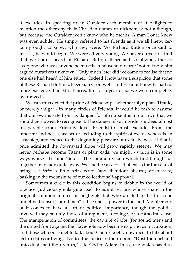it excludes. In speaking to an Outsider each member of it delights to mention the others by their Christian names or nicknames; not although, but because, the Outsider won't know who he means. A man I once knew was even subtler. He simply referred to his friends as if we all knew, certainly ought to know, who they were. "As Richard Button once said to me. . .", he would begin. We were all very young. We never dared to admit that we hadn't heard of Richard Button. It seemed so obvious that to everyone who was anyone he must be a household word; "not to know him argued ourselves unknown." Only much later did we come to realise that no one else had heard of him either. (Indeed I now have a suspicion that some of these Richard Buttons, Hezekiah Cromwells and Eleanor Forsyths had no more existence than Mrs. Harris. But for a year or so we were completely over-awed.)

We can thus detect the pride of Friendship - whether Olympian, Titanic, or merely vulgar - in many circles of Friends. It would be rash to assume that our own is safe from its danger; for of course it is in our own that we should be slowest to recognise it. The danger of such pride is indeed almost inseparable from Friendly love. Friendship must exclude. From the innocent and necessary act of excluding to the spirit of exclusiveness is an easy step; and thence to the degrading pleasure of exclusiveness. If that is once admitted the downward slope will grow rapidly steeper. We may never perhaps become Titans or plain cads; we might - which is in some ways worse - become "Souls". The common vision which first brought us together may fade quite away. We shall be a coterie that exists for the sake of being a coterie; a little self-elected (and therefore absurd) aristocracy, basking in the moonshine of our collective self-approval.

Sometimes a circle in this condition begins to dabble in the world of practice. Judiciously enlarging itself to admit recruits whose share in the original common interest is negligible but who are felt to be (in some undefined sense) "sound men", it becomes a power in the land. Membership of it comes to have a sort of political importance, though the politics involved may be only those of a regiment, a college, or a cathedral close. The manipulation of committees, the capture of jobs (for sound men) and the united front against the Have-nots now become its principal occupation, and those who once met to talk about God or poetry now meet to talk about lectureships or livings. Notice the justice of their doom. "Dust thou art and unto dust shalt thou return," said God to Adam. In a circle which has thus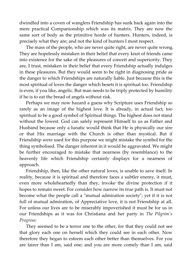dwindled into a coven of wanglers Friendship has sunk back again into the mere practical Companionship which was its matrix. They are now the same sort of body as the primitive horde of hunters. Hunters, indeed, is precisely what they are; and not the kind of hunters I most respect.

The mass of the people, who are never quite right, are never quite wrong. They are hopelessly mistaken in their belief that every knot of friends came into existence for the sake of the pleasures of conceit and superiority. They are, I trust, mistaken in their belief that every Friendship actually indulges in these pleasures. But they would seem to be right in diagnosing pride as the danger to which Friendships are naturally liable. Just because this is the most spiritual of loves the danger which besets it is spiritual too. Friendship is even, if you like, angelic. But man needs to be triply protected by humility if he is to eat the bread of angels without risk.

Perhaps we may now hazard a guess why Scripture uses Friendship so rarely as an image of the highest love. It is already, in actual fact, too spiritual to be a good symbol of Spiritual things. The highest does not stand without the lowest. God can safely represent Himself to us as Father and Husband because only a lunatic would think that He is physically our sire or that His marriage with the Church is other than mystical. But if Friendship were used for this purpose we might mistake the symbol for the thing symbolised. The danger inherent in it would be aggravated. We might be further encouraged to mistake that nearness (by resemblance) to the heavenly life which Friendship certainly displays for a nearness of approach.

Friendship, then, like the other natural loves, is unable to save itself. In reality, because it is spiritual and therefore faces a subtler enemy, it must, even more wholeheartedly than they, invoke the divine protection if it hopes to remain sweet. For consider how narrow its true path is. It must not become what the people call a "mutual admiration society"; yet if it is not full of mutual admiration, of Appreciative love, it is not Friendship at all. For unless our lives are to be miserably impoverished it must be for us in our Friendships as it was for Christiana and her party in The Pilgrim's Progress:

They seemed to be a terror one to the other, for that they could not see that glory each one on herself which they could see in each other. Now therefore they began to esteem each other better than themselves. For you are fairer than I am, said one; and you are more comely than I am, said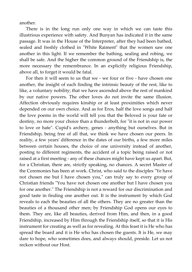another.

There is in the long run only one way in which we can taste this illustrious experience with safety. And Bunyan has indicated it in the same passage. It was in the House of the Interpreter, after they had been bathed, sealed and freshly clothed in "White Raiment" that the women saw one another in this light. If we remember the bathing, sealing and robing, we shall be safe. And the higher the common ground of the Friendship is, the more necessary the remembrance. In an explicitly religious Friendship, above all, to forget it would be fatal.

For then it will seem to us that we - we four or five - have chosen one another, the insight of each finding the intrinsic beauty of the rest, like to like, a voluntary nobility; that we have ascended above the rest of mankind by our native powers. The other loves do not invite the same illusion. Affection obviously requires kinship or at least proximities which never depended on our own choice. And as for Eros, half the love songs and half the love poems in the world will tell you that the Beloved is your fate or destiny, no more your choice than a thunderbolt, for "it is not in our power to love or hate". Cupid's archery, genes - anything but ourselves. But in Friendship, being free of all that, we think we have chosen our peers. In reality, a few years' difference in the dates of our births, a few more miles between certain houses, the choice of one university instead of another, posting to different regiments, the accident of a topic being raised or not raised at a first meeting - any of these chances might have kept us apart. But, for a Christian, there are, strictly speaking, no chances. A secret Master of the Ceremonies has been at work. Christ, who said to the disciples "Ye have not chosen me but I have chosen you," can truly say to every group of Christian friends "You have not chosen one another but I have chosen you for one another." The Friendship is not a reward for our discrimination and good taste in finding one another out. It is the instrument by which God reveals to each the beauties of all the others. They are no greater than the beauties of a thousand other men; by Friendship God opens our eyes to them. They are, like all beauties, derived from Him, and then, in a good Friendship, increased by Him through the Friendship itself, so that it is His instrument for creating as well as for revealing. At this feast it is He who has spread the board and it is He who has chosen the guests. It is He, we may dare to hope, who sometimes does, and always should, preside. Let us not reckon without our Host.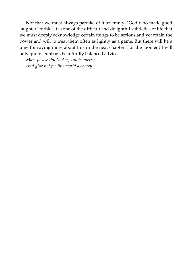Not that we must always partake of it solemnly. "God who made good laughter" forbid. It is one of the difficult and delightful subtleties of life that we must deeply acknowledge certain things to be serious and yet retain the power and will to treat them often as lightly as a game. But there will he a time for saying more about this in the next chapter. For the moment I will only quote Dunbar's beautifully balanced advice:

Man, please thy Maker, and be merry, And give not for this world a cherry.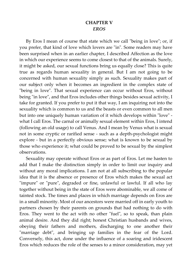## CHAPTER V EROS

By Eros I mean of course that state which we call "being in love"; or, if you prefer, that kind of love which lovers are "in". Some readers may have been surprised when in an earlier chapter, I described Affection as the love in which our experience seems to come closest to that of the animals. Surely, it might be asked, our sexual functions bring us equally close? This is quite true as regards human sexuality in general. But I am not going to be concerned with human sexuality simply as such. Sexuality makes part of our subject only when it becomes an ingredient in the complex state of "being in love". That sexual experience can occur without Eros, without being "in love", and that Eros includes other things besides sexual activity, I take for granted. If you prefer to put it that way, I am inquiring not into the sexuality which is common to us and the beasts or even common to all men but into one uniquely human variation of it which develops within "love" what I call Eros. The carnal or animally sexual element within Eros, I intend (following an old usage) to call Venus. And I mean by Venus what is sexual not in some cryptic or rarified sense - such as a depth-psychologist might explore - but in a perfectly obvious sense; what is known to be sexual by those who experience it; what could be proved to be sexual by the simplest observations.

Sexuality may operate without Eros or as part of Eros. Let me hasten to add that I make the distinction simply in order to limit our inquiry and without any moral implications. I am not at all subscribing to the popular idea that it is the absence or presence of Eros which makes the sexual act "impure" or "pure", degraded or fine, unlawful or lawful. If all who lay together without being in the state of Eros were abominable, we all come of tainted stock. The times and places in which marriage depends on Eros are in a small minority. Most of our ancestors were married off in early youth to partners chosen by their parents on grounds that had nothing to do with Eros. They went to the act with no other "fuel", so to speak, than plain animal desire. And they did right; honest Christian husbands and wives, obeying their fathers and mothers, discharging to one another their "marriage debt", and bringing up families in the fear of the Lord. Conversely, this act, done under the influence of a soaring and iridescent Eros which reduces the role of the senses to a minor consideration, may yet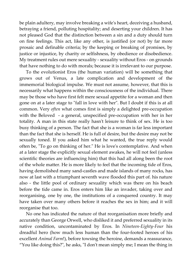be plain adultery, may involve breaking a wife's heart, deceiving a husband, betraying a friend, polluting hospitality; and deserting your children. It has not pleased God that the distinction between a sin and a duty should turn on fine feelings. This act, like any other, is justified (or not) by far more prosaic and definable criteria; by the keeping or breaking of promises, by justice or injustice, by charity or selfishness, by obedience or disobedience. My treatment rules out mere sexuality - sexuality without Eros - on grounds that have nothing to do with morals; because it is irrelevant to our purpose.

To the evolutionist Eros (the human variation) will be something that grows out of Venus, a late complication and development of the immemorial biological impulse. We must not assume, however, that this is necessarily what happens within the consciousness of the individual. There may be those who have first felt mere sexual appetite for a woman and then gone on at a later stage to "fall in love with her". But I doubt if this is at all common. Very often what comes first is simply a delighted pre-occupation with the Beloved - a general, unspecified pre-occupation with her in her totality. A man in this state really hasn't leisure to think of sex. He is too busy thinking of a person. The fact that she is a woman is far less important than the fact that she is herself. He is full of desire, but the desire may not be sexually toned. If you asked him what he wanted, the true reply would often be, "To go on thinking of her." He is love's contemplative. And when at a later stage the explicitly sexual element awakes, he will not feel (unless scientific theories are influencing him) that this had all along been the root of the whole matter. He is more likely to feel that the incoming tide of Eros, having demolished many sand-castles and made islands of many rocks, has now at last with a triumphant seventh wave flooded this part of. his nature also - the little pool of ordinary sexuality which was there on his beach before the tide came in. Eros enters him like an invader, taking over and reorganising, one by one, the institutions of a conquered country. It may have taken over many others before it reaches the sex in him; and it will reorganise that too.

No one has indicated the nature of that reorganisation more briefly and accurately than George Orwell, who disliked it and preferred sexuality in its native condition, uncontaminated by Eros. In Nineteen-Eighty-Four his dreadful hero (how much less human than the four-footed heroes of his excellent Animal Farm!), before towsing the heroine, demands a reassurance, "You like doing this?", he asks, "I don't mean simply me; I mean the thing in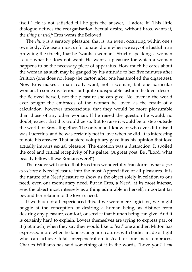itself." He is not satisfied till he gets the answer, "I adore it" This little dialogue defines the reorganisation. Sexual desire, without Eros, wants it, the thing in itself; Eros wants the Beloved.

The thing is a sensory pleasure; that is, an event occurring within one's own body. We use a most unfortunate idiom when we say, of a lustful man prowling the streets, that he "wants a woman". Strictly speaking, a woman is just what he does not want. He wants a pleasure for which a woman happens to be the necessary piece of apparatus. How much he cares about the woman as such may be gauged by his attitude to her five minutes after fruition (one does not keep the carton after one has smoked the cigarettes). Now Eros makes a man really want, not a woman, but one particular woman. In some mysterious but quite indisputable fashion the lover desires the Beloved herself, not the pleasure she can give. No lover in the world ever sought the embraces of the woman he loved as the result of a calculation, however unconscious, that they would be more pleasurable than those of any other woman. If he raised the question he would, no doubt, expect that this would be so. But to raise it would be to step outside the world of Eros altogether. The only man I know of who ever did raise it was Lucretius, and he was certainly not in love when he did. It is interesting to note his answer. That austere voluptuary gave it as his opinion that love actually impairs sexual pleasure. The emotion was a distraction. It spoiled the cool and critical receptivity of his palate. (A great poet; But "Lord, what beastly fellows these Romans were!")

The reader will notice that Eros thus wonderfully transforms what is par excellence a Need-pleasure into the most Appreciative of all pleasures. It is the nature of a Needpleasure to show us the object solely in relation to our need, even our momentary need. But in Eros, a Need, at its most intense, sees the object most intensely as a thing admirable in herself, important far beyond her relation to the lover's need.

If we had not all experienced this, if we were mere logicians, we might boggle at the conception of desiring a human being, as distinct from desiring any pleasure, comfort, or service that human being can give. And it is certainly hard to explain. Lovers themselves are trying to express part of it (not much) when they say they would like to "eat" one another. Milton has expressed more when he fancies angelic creatures with bodies made of light who can achieve total interpenetration instead of our mere embraces. Charles Williams has said something of it in the words, "Love you? I am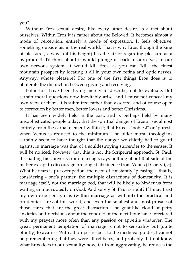you"

Without Eros sexual desire, like every other desire, is a fact about ourselves. Within Eros it is rather about the Beloved. It becomes almost a mode of perception, entirely a mode of expression. It feels objective; something outside us, in the real world. That is why Eros, though the king of pleasures, always (at his height) has the air of regarding pleasure as a by-product. To think about it would plunge us back in ourselves, in our own nervous system. It would kill Eros, as you can "kill" the finest mountain prospect by locating it all in your own retina and optic nerves. Anyway, whose pleasure? For one of the first things Eros does is to obliterate the distinction between giving and receiving.

Hitherto I have been trying merely to describe, not to evaluate. But certain moral questions now inevitably arise, and I must not conceal my own view of them. It is submitted rather than asserted, and of course open to correction by better men, better lovers and better Christians.

It has been widely held in the past, and is perhaps held by many unsophisticated people today, that the spiritual danger of Eros arises almost entirely from the carnal element within it; that Eros is "noblest" or "purest" when Venus is reduced to the minimum. The older moral theologians certainly seem to have thought that the danger we chiefly had to guard against in marriage was that of a souldestroying surrender to the senses. It will be noticed, however, that this is not the Scriptural approach. St. Paul, dissuading his converts from marriage, says nothing about that side of the matter except to discourage prolonged abstinence from Venus (I Cor. vii, 5). What he fears is pre-occupation, the need of constantly "pleasing" - that is, considering - one's partner, the multiple distractions of domesticity. It is marriage itself, not the marriage bed, that will be likely to hinder us from waiting uninterruptedly on God. And surely St. Paul is right? If I may trust my own experience, it is (within marriage as without) the practical and prudential cares of this world, and even the smallest and most prosaic of those cares, that are the great distraction. The gnat-like cloud of petty anxieties and decisions about the conduct of the next hour have interfered with my prayers more often than any passion or appetite whatever. The great, permanent temptation of marriage is not to sensuality but (quite bluntly) to avarice. With all proper respect to the medieval guides, I cannot help remembering that they were all celibates, and probably did not know what Eros does to our sexuality: how, far from aggravating, he reduces the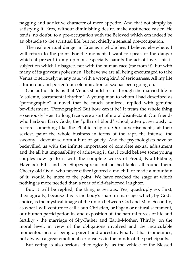nagging and addictive character of mere appetite. And that not simply by satisfying it. Eros, without diminishing desire, make abstinence easier. He tends, no doubt, to a pre-occupation with the Beloved which can indeed be an obstacle to the spiritual life; but not chiefly a sensual pre-occupation.

The real spiritual danger in Eros as a whole lies, I believe, elsewhere. I will return to the point. For the moment, I want to speak of the danger which at present in my opinion, especially haunts the act of love. This is subject on which I disagree, not with the human race (far from it), but with many of its gravest spokesmen. I believe we are all being encouraged to take Venus to seriously; at any rate, with a wrong kind of seriousness. All my life a ludicrous and portentous solemnisation of sex has been going on.

One author tells us that Venus should recur through the married life in "a solemn, sacramental rhythm". A young man to whom I had described as "pornographic" a novel that he much admired, replied with genuine bewilderment, "Pornographic? But how can it be? It treats the whole thing so seriously" - as if a long face were a sort of moral disinfectant. Our friends who harbour Dark Gods, the "pillar of blood" school, attempt seriously to restore something like the Phallic religion. Our advertisements, at their sexiest, paint the whole business in terms of the rapt, the intense, the swoony - devout; seldom a hint of gaiety. And the psychologists have so bedevilled us with the infinite importance of complete sexual adjustment and the all but impossibility of achieving it, that I could believe some young couples now go to it with the complete works of Freud, Kraft-Ebbing, Havelock Ellis and Dr. Stopes spread out on bed-tables all round them. Cheery old Ovid, who never either ignored a molehill or made a mountain of it, would be more to the point. We have reached the stage at which nothing is more needed than a roar of old-fashioned laughter.

But, it will be replied, the thing is serious. Yes; quadruply so. First, theologically, because this is the body's share in marriage which, by God's choice, is the mystical image of the union between God and Man. Secondly, as what I will venture to call a sub-Christian, or Pagan or natural sacrament, our human participation in, and exposition of, the natural forces of life and fertility - the marriage of Sky-Father and Earth-Mother. Thirdly, on the moral level, in view of the obligations involved and the incalculable momentousness of being a parent and ancestor. Finally it has (sometimes, not always) a great emotional seriousness in the minds of the participants.

But eating is also serious; theologically, as the vehicle of the Blessed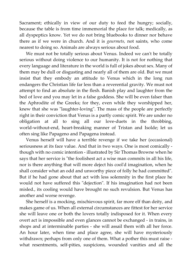Sacrament; ethically in view of our duty to feed the hungry; socially, because the table is from time immemorial the place for talk; medically, as all dyspeptics know. Yet we do not bring bluebooks to dinner nor behave there as if we were in church. And it is gourmets, not saints, who come nearest to doing so. Animals are always serious about food.

We must not be totally serious about Venus. Indeed we can't be totally serious without doing violence to our humanity. It is not for nothing that every language and literature in the world is full of jokes about sex. Many of them may be dull or disgusting and nearly all of them are old. But we must insist that they embody an attitude to Venus which in the long run endangers the Christian life far less than a reverential gravity. We must not attempt to find an absolute in the flesh. Banish play and laughter from the bed of love and you may let in a false goddess. She will be even falser than the Aphrodite of the Greeks; for they, even while they worshipped her, knew that she was "laughter-loving". The mass of the people are perfectly right in their conviction that Venus is a partly comic spirit. We are under no obligation at all to sing all our love-duets in the throbbing, world-without-end, heart-breaking manner of Tristan and Isolde; let us often sing like Papageno and Papagena instead.

Venus herself will have a terrible revenge if we take her (occasional) seriousness at its face value. And that in two ways. One is most comically though with no comic intention - illustrated by Sir Thomas Browne when he says that her service is "the foolishest act a wise man commits in all his life, nor is there anything that will more deject his cool'd imagination, when he shall consider what an odd and unworthy piece of folly he had committed". But if he had gone about that act with less solemnity in the first place he would not have suffered this "dejection". If his imagination had not been misled., its cooling would have brought no such revulsion. But Venus has another and worse revenge.

She herself is a mocking, mischievous spirit, far more elf than deity, and makes game of us. When all external circumstances are fittest for her service she will leave one or both the lovers totally indisposed for it. When every overt act is impossible and even glances cannot be exchanged - in trains, in shops and at interminable parties - she will assail them with all her force. An hour later, when time and place agree, she will have mysteriously withdrawn; perhaps from only one of them. What a pother this must raise what resentments, self-pities, suspicions, wounded vanities and all the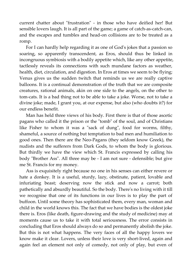current chatter about "frustration" - in those who have deified her! But sensible lovers laugh. It is all part of the game; a game of catch-as-catch-can, and the escapes and tumbles and head-on collisions are to be treated as a romp.

For I can hardly help regarding it as one of God's jokes that a passion so soaring, so apparently transcendent, as Eros, should thus be linked in incongruous symbiosis with a bodily appetite which, like any other appetite, tactlessly reveals its connections with such mundane factors as weather, health, diet, circulation, and digestion. In Eros at times we seem to be flying; Venus gives us the sudden twitch that reminds us we are really captive balloons. It is a continual demonstration of the truth that we are composite creatures, rational animals, akin on one side to the angels, on the other to tom-cats. It is a bad thing not to be able to take a joke. Worse, not to take a divine joke; made, I grant you, at our expense, but also (who doubts it?) for our endless benefit.

Man has held three views of his body. First there is that of those ascetic pagans who called it the prison or the "tomb" of the soul, and of Christians like Fisher to whom it was a "sack of dung", food for worms, filthy, shameful, a source of nothing but temptation to bad men and humiliation to good ones. Then there are the Neo-Pagans (they seldom know Greek), the nudists and the sufferers from Dark Gods, to whom the body is glorious. But thirdly we have the view which St. Francis expressed by calling his body "Brother Ass". All three may be - I am not sure - defensible; but give me St. Francis for my money.

Ass is exquisitely right because no one in his senses can either revere or hate a donkey. It is a useful, sturdy, lazy, obstinate, patient, lovable and infuriating beast; deserving now the stick and now a carrot; both pathetically and absurdly beautiful. So the body. There's no living with it till we recognise that one of its functions in our lives is to play the part of buffoon. Until some theory has sophisticated them, every man, woman and child in the world knows this. The fact that we have bodies is the oldest joke there is. Eros (like death, figure-drawing and the study of medicine) may at moments cause us to take it with total seriousness. The error consists in concluding that Eros should always do so and permanently abolish the joke. But this is not what happens. The very faces of all the happy lovers we know make it clear. Lovers, unless their love is very short-lived, again and again feel an element not only of comedy, not only of play, but even of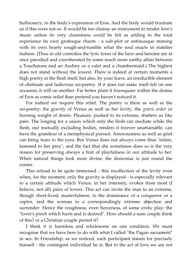buffoonery, in the body's expression of Eros. And the body would frustrate us if this were not so. It would be too clumsy an instrument to render love's music unless its very clumsiness could be felt as adding to the total experience its own grotesque charm - a sub-plot or antimasque miming with its own hearty rough-and-tumble what the soul enacts in statelier fashion. (Thus in old comedies the lyric loves of the hero and heroine are at once parodied and corroborated by some much more earthy affair between a Touchstone and an Audrey or a valet and a chambermaid.) The highest does not stand without the lowest. There is indeed at certain moments a high poetry in the flesh itself; but also, by your leave, an irreducible element of obstinate and ludicrous un-poetry. If it does not make itself felt on one occasion, it will on another. Far better plant it foursquare within the drama of Eros as comic relief than pretend you haven't noticed it.

For indeed we require this relief. The poetry is there as well as the un-poetry; the gravity of Venus as well as her levity, the gravis ardor or burning weight of desire. Pleasure, pushed to its extreme, shatters us like pain. The longing for a union which only the flesh can mediate while the flesh, our mutually excluding bodies, renders it forever unattainable, can have the grandeur of a metaphysical pursuit. Amorousness as well as grief can bring tears to the eyes. But Venus does not always come thus "entire, fastened to her prey", and the fact that she sometimes does so is the very reason for preserving always a hint of playfulness in our attitude to her. When natural things look most divine, the demoniac is just round the corner.

This refusal to be quite immersed - this recollection of the levity even when, for the moment, only the gravity is displayed - is especially relevant to a certain attitude which Venus, in her intensity, evokes from most (I believe, not all) pairs of lovers. This act can invite the man to an extreme, though short-lived, masterfulness, to the dominance of a conqueror or a captor, and the woman to a correspondingly extreme abjection and surrender. Hence the roughness, even fierceness, of some erotic play; the "lover's pinch which hurts and is desired". How should a sane couple think of this? or a Christian couple permit it?

I think it is harmless and wholesome on one condition. We must recognise that we have here to do with what I called "the Pagan sacrament" in sex. In Friendship, as we noticed, each participant stands for precisely himself - the contingent individual he is. But in the act of love we are not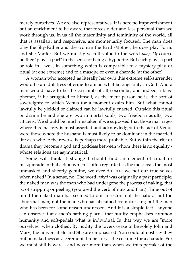merely ourselves. We are also representatives. It is here no impoverishment but an enrichment to be aware that forces older and less personal than we work through us. In us all the masculinity and femininity of the world, all that is assailant and responsive, are momentarily focused. The man does play the Sky-Father and the woman the Earth-Mother; he does play Form, and she Matter. But we must give full value to the word play. Of course neither "plays a part" in the sense of being a hypocrite. But each plays a part or role in - well, in something which is comparable to a mystery-play or ritual (at one extreme) and to a masque or even a charade (at the other).

A woman who accepted as literally her own this extreme self-surrender would be an idolatress offering to a man what belongs only to God. And a man would have to be the coxcomb of all coxcombs, and indeed a blasphemer, if he arrogated to himself, as the mere person he is, the sort of sovereignty to which Venus for a moment exalts him. But what cannot lawfully be yielded or claimed can be lawfully enacted. Outside this ritual or drama he and she are two immortal souls, two free-born adults, two citizens. We should be much mistaken if we supposed that those marriages where this mastery is most asserted and acknowledged in the act of Venus were those where the husband is most likely to be dominant in the married life as a whole; the reverse is perhaps more probable. But within the rite or drama they become a god and goddess between whom there is no equality whose relations are asymmetrical.

Some will think it strange I should find an element of ritual or masquerade in that action which is often regarded as the most real, the most unmasked and sheerly genuine, we ever do. Are we not our true selves when naked? In a sense, no. The word naked was originally a past participle; the naked man was the man who had undergone the process of naking, that is, of stripping or peeling (you used the verb of nuts and fruit). Time out of mind the naked man has seemed to our ancestors not the natural but the abnormal man; not the man who has abstained from dressing but the man who has been for some reason undressed. And it is a simple fact - anyone can observe it at a men's bathing place - that nudity emphasises common humanity and soft-pedals what is individual. In that way we are "more ourselves" when clothed. By nudity the lovers cease to be solely John and Mary; the universal He and She are emphasised. You could almost say they put on nakedness as a ceremonial robe - or as the costume for a charade. For we must still beware - and never more than when we thus partake of the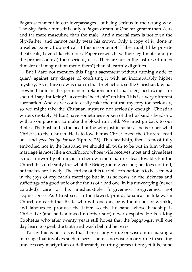Pagan sacrament in our lovepassages - of being serious in the wrong way. The Sky-Father himself is only a Pagan dream of One far greater than Zeus and far mare masculine than the male. And a mortal man is not even the Sky-Father, and cannot really wear his crown. Only a copy of it, done in tinselled paper. I do not call it this in contempt. I like ritual; I like private theatricals; I even like charades. Paper crowns have their legitimate, and (in the proper context) their serious, uses. They are not in the last resort much flimsier ("if imagination mend them") than all earthly dignities.

But I dare not mention this Pagan sacrament without turning aside to guard against any danger of confusing it with an incomparably higher mystery. As nature crowns man in that brief action, so the Christian law has crowned him in the permanent relationship of marriage, bestowing - or should I say, inflicting? - a certain "headship" on him. This is a very different coronation. And as we could easily take the natural mystery too seriously, so we might take the Christian mystery not seriously enough. Christian writers (notably Milton) have sometimes spoken of the husband's headship with a complacency to make the blood run cold. We must go back to our Bibles. The husband is the head of the wife just in so far as he is to her what Christ is to the Church. He is to love her as Christ loved the Church - read on - and gave his life for her (Eph. v, 25). This headship, then, is most fully embodied not in the husband we should all wish to be but in him whose marriage is most like a crucifixion; whose wife receives most and gives least, is most unworthy of him, is - in her own mere nature - least lovable. For the Church has no beauty but what the Bridegroom gives her; he does not find, but makes her, lovely. The chrism of this terrible coronation is to be seen not in the joys of any man's marriage but in its sorrows, in the sickness and sufferings of a good wife or the faults of a bad one, in his unwearying (never paraded) care or his inexhaustible forgiveness: forgiveness, not acquiescence. As Christ sees in the flawed, proud, fanatical or lukewarm Church on earth that Bride who will one day be without spot or wrinkle, and labours to produce the latter, so the husband whose headship is Christ-like (and he is allowed no other sort) never despairs. He is a King Cophetua who after twenty years still hopes that the beggar-girl will one day learn to speak the truth and wash behind her ears.

To say this is not to say that there is any virtue or wisdom in making a marriage that involves such misery. There is no wisdom or virtue in seeking unnecessary martyrdom or deliberately courting persecution; yet it is, none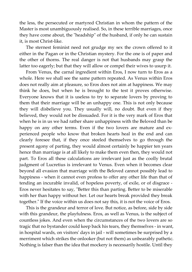the less, the persecuted or martyred Christian in whom the pattern of the Master is most unambiguously realised. So, in these terrible marriages, once they have come about, the "headship" of the husband, if only he can sustain it, is most Christ-like.

The sternest feminist need not grudge my sex the crown offered to it either in the Pagan or in the Christian mystery. For the one is of paper and the other of thorns. The real danger is not that husbands may grasp the latter too eagerly; but that they will allow or compel their wives to usurp it.

From Venus, the carnal ingredient within Eros, I now turn to Eros as a whole. Here we shall see the same pattern repeated. As Venus within Eros does not really aim at pleasure, so Eros does not aim at happiness. We may think he does, but when he is brought to the test it proves otherwise. Everyone knows that it is useless to try to separate lovers by proving to them that their marriage will be an unhappy one. This is not only because they will disbelieve you. They usually will, no doubt. But even if they believed, they would not be dissuaded. For it is the very mark of Eros that when he is in us we had rather share unhappiness with the Beloved than be happy on any other terms. Even if the two lovers are mature and experienced people who know that broken hearts heal in the end and can clearly foresee that, if they once steeled themselves to go through the present agony of parting, they would almost certainly be happier ten years hence than marriage is at all likely to make them even then, they would not part. To Eros all these calculations are irrelevant just as the coolly brutal judgment of Lucretius is irrelevant to Venus. Even when it becomes clear beyond all evasion that marriage with the Beloved cannot possibly lead to happiness - when it cannot even profess to offer any other life than that of tending an incurable invalid, of hopeless poverty, of exile, or of disgrace - Eros never hesitates to say, "Better this than parting. Better to be miserable with her than happy without her. Let our hearts break provided they break together." If the voice within us does not say this, it is not the voice of Eros.

This is the grandeur and terror of love. But notice, as before, side by side with this grandeur, the playfulness. Eros, as well as Venus, is the subject of countless jokes. And even when the circumstances of the two lovers are so tragic that no bystander could keep back his tears, they themselves - in want, in hospital wards, on visitors' days in jail - will sometimes be surprised by a merriment which strikes the onlooker (but not them) as unbearably pathetic. Nothing is falser than the idea that mockery is necessarily hostile. Until they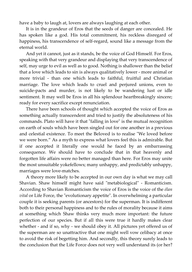have a baby to laugh at, lovers are always laughing at each other.

It is in the grandeur of Eros that the seeds of danger are concealed. He has spoken like a god. His total commitment, his reckless disregard of happiness, his transcendence of self-regard, sound like a message from the eternal world.

And yet it cannot, just as it stands, be the voice of God Himself. For Eros, speaking with that very grandeur and displaying that very transcendence of self, may urge to evil as well as to good. Nothing is shallower than the belief that a love which leads to sin is always qualitatively lower - more animal or more trivial - than one which leads to faithful, fruitful and Christian marriage. The love which leads to cruel and perjured unions, even to suicide-pacts and murder, is not likely to be wandering lust or idle sentiment. It may well be Eros in all his splendour heartbreakingly sincere; ready for every sacrifice except renunciation.

There have been schools of thought which accepted the voice of Eros as something actually transcendent and tried to justify the absoluteness of his commands. Plato will have it that "falling in love" is the mutual recognition on earth of souls which have been singled out for one another in a previous and celestial existence. To meet the Beloved is to realise "We loved before we were born." As a myth to express what lovers feel this is admirable. But if one accepted it literally one would he faced by an embarrassing consequence. We should have to conclude that in that heavenly and forgotten life affairs were no better managed than here. For Eros may unite the most unsuitable yokefellows; many unhappy, and predictably unhappy, marriages were love-matches.

A theory more likely to be accepted in our own day is what we may call Shavian. Shaw himself might have said "metabiological" - Romanticism. According to Shavian Romanticism the voice of Eros is the voice of the élan vital or Life Force, the "evolutionary appetite". In overwhelming a particular couple it is seeking parents (or ancestors) for the superman. It is indifferent both to their personal happiness and to the rules of morality because it aims at something which Shaw thinks very much more important: the future perfection of our species. But if all this were true it hardly makes clear whether - and if so, why - we should obey it. All pictures yet offered us of the superman are so unattractive that one might well vow celibacy at once to avoid the risk of begetting him. And secondly, this theory surely leads to the conclusion that the Life Force does not very well understand its (or her?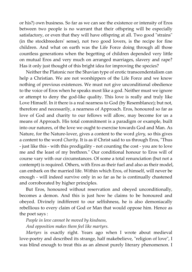or his?) own business. So far as we can see the existence or intensity of Eros between two people is no warrant that their offspring will be especially satisfactory, or even that they will have offspring at all. Two good "strains" (in the stockbreeders' sense), not two good lovers, is the recipe for fine children. And what on earth was the Life Force doing through all those countless generations when the begetting of children depended very little on mutual Eros and very much on arranged marriages, slavery and rape? Has it only just thought of this bright idea for improving the species?

Neither the Platonic nor the Shavian type of erotic transcendentalism can help a Christian. We are not worshippers of the Life Force and we know nothing of previous existences. We must not give unconditional obedience to the voice of Eros when he speaks most like a god. Neither must we ignore or attempt to deny the god-like quality. This love is really and truly like Love Himself. In it there is a real nearness to God (by Resemblance); but not, therefore and necessarily, a nearness of Approach. Eros, honoured so far as love of God and charity to our fellows will allow, may become for us a means of Approach. His total commitment is a paradigm or example, built into our natures, of the love we ought to exercise towards God and Man. As Nature, for the Nature-lover, gives a content to the word glory, so this gives a content to the word Charity. It is as if Christ said to us through Eros, "Thus - just like this - with this prodigality - not counting the cost - you are to love me and the least of my brethren." Our conditional honour to Eros will of course vary with our circumstances. Of some a total renunciation (but not a contempt) is required. Others, with Eros as their fuel and also as their model, can embark on the married life. Within which Eros, of himself, will never be enough - will indeed survive only in so far as he is continually chastened and corroborated by higher principles.

But Eros, honoured without reservation and obeyed unconditionally, becomes a demon. And this is just how he claims to be honoured and obeyed. Divinely indifferent to our selfishness, he is also demoniacally rebellious to every claim of God or Man that would oppose him. Hence as the poet says :

People in love cannot be moved by kindness, And opposition makes them feel like martyrs.

Martyrs is exactly right. Years ago when I wrote about medieval love-poetry and described its strange, half makebelieve, "religion of love", I was blind enough to treat this as an almost purely literary phenomenon. I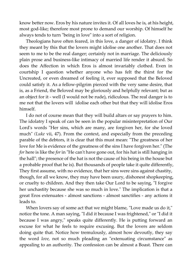know better now. Eros by his nature invites it. Of all loves he is, at his height, most god-like; therefore most prone to demand our worship. Of himself he always tends to turn "being in love" into a sort of religion.

Theologians have often feared, in this love, a danger of idolatry. I think they meant by this that the lovers might idolise one another. That does not seem to me to be the real danger; certainly not in marriage. The deliciously plain prose and business-like intimacy of married life render it absurd. So does the Affection in which Eros is almost invariably clothed. Even in courtship I question whether anyone who has felt the thirst for the Uncreated, or even dreamed of feeling it, ever supposed that the Beloved could satisfy it. As a fellow-pilgrim pierced with the very same desire, that is, as a Friend, the Beloved may be gloriously and helpfully relevant; but as an object for it - well (I would not be rude), ridiculous. The real danger is to me not that the lovers will idolise each other but that they will idolise Eros himself.

I do not of course mean that they will build altars or say prayers to him. The idolatry I speak of can be seen in the popular misinterpretation of Our Lord's words "Her sins, which are many, are forgiven her, for she loved much" (Luke vii, 47). From the context, and especially from the preceding parable of the debtors, it is clear that this must mean: "The greatness of her love for Me is evidence of the greatness of the sins I have forgiven her." (The for here is like the for in "He can't have gone out, for his hat is still hanging in the hall"; the presence of the hat is not the cause of his being in the house but a probable proof that he is). But thousands of people take it quite differently, They first assume, with no evidence, that her sins were sins against chastity, though, for all we know, they may have been usury, dishonest shopkeeping, or cruelty to children. And they then take Our Lord to be saying, "I forgive her unchastity because she was so much in love." The implication is that a great Eros extenuates - almost sanctions - almost sanctifies - any actions it leads to.

When lovers say of some act that we might blame, "Love made us do it," notice the tone. A man saying, "I did it because I was frightened," or "I did it because I was angry," speaks quite differently. He is putting forward an excuse for what he feels to require excusing. But the lovers are seldom doing quite that. Notice how tremulously, almost how devoutly, they say the word love, not so much pleading an "extenuating circumstance" as appealing to an authority. The confession can be almost a Boast. There can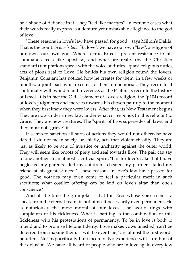be a shade of defiance in it. They "feel like martyrs". In extreme cases what their words really express is a demure yet unshakable allegiance to the god of love.

"These reasons in love's law have passed for good," says Milton's Dalila. That is the point; in love's law. "In love", we have our own "law", a religion of our own, our own god. Where a true Eros is present resistance to his commands feels like apostasy, and what are really (by the Christian standard) temptations speak with the voice of duties - quasi-religious duties, acts of pious zeal to Love. He builds his own religion round the lovers. Benjamin Constant has noticed how he creates for them, in a few weeks or months, a joint past which seems to them immemorial. They recur to it continually with wonder and reverence, as the Psalmists recur to the history of Israel. It is in fact the Old Testament of Love's religion; the (p104) record of love's judgments and mercies towards his chosen pair up to the moment when they first knew they were lovers. After that, its New Testament begins. They are now under a new law, under what corresponds (in this religion) to Grace. They are new creatures. The "spirit" of Eros supersedes all laws, and they must not "grieve" it.

It seems to sanction all sorts of actions they would not otherwise have dared. I do not mean solely, or chiefly, acts that violate chastity. They are just as likely to be acts of injustice or uncharity against the outer world. They will seem like proofs of piety and zeal towards Eros. The pair can say to one another in an almost sacrificial spirit, "It is for love's sake that I have neglected my parents - left my children - cheated my partner - failed my friend at his greatest need." These reasons in love's law have passed for good. The votaries may even come to feel a particular merit in such sacrifices; what costlier offering can be laid on love's altar than one's conscience?

And all the time the grim joke is that this Eros whose voice seems to speak from the eternal realm is not himself necessarily even permanent. He is notoriously the most mortal of our loves. The world rings with complaints of his fickleness. What is baffling is the combination of this fickleness with his protestations of permanency. To be in love is both to intend and to promise lifelong fidelity. Love makes vows unasked; can't be deterred from making them. "I will be ever true," are almost the first words he utters. Not hypocritically but sincerely. No experience will cure him of the delusion. We have all heard of people who are in love again every few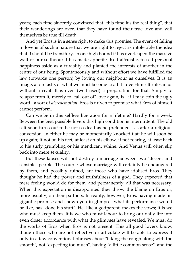years; each time sincerely convinced that "this time it's the real thing", that their wanderings are over, that they have found their true love and will themselves be true till death.

And yet Eros is in a sense right to make this promise. The event of falling in love is of such a nature that we are right to reject as intolerable the idea that it should be transitory. In one high bound it has overleaped the massive wall of our selfhood; it has made appetite itself altruistic, tossed personal happiness aside as a triviality and planted the interests of another in the centre of our being. Spontaneously and without effort we have fulfilled the law (towards one person) by loving our neighbour as ourselves. It is an image, a foretaste, of what we must become to all if Love Himself rules in us without a rival. It is even (well used) a preparation for that. Simply to relapse from it, merely to "fall out of" love again, is - if I may coin the ugly word - a sort of disredemption. Eros is driven to promise what Eros of himself cannot perform.

Can we be in this selfless liberation for a lifetime? Hardly for a week. Between the best possible lovers this high condition is intermittent. The old self soon turns out to be not so dead as he pretended - as after a religious conversion. In either he may be momentarily knocked flat; he will soon be up again; if not on his feet, at least an his elbow, if not roaring, at least back to his surly grumbling or his mendicant whine. And Venus will often slip back into mere sexuality.

But these lapses will not destroy a marriage between two "decent and sensible" people. The couple whose marriage will certainly be endangered by them, and possibly ruined, are those who have idolised Eros. They thought he had the power and truthfulness of a god. They expected that mere feeling would do for them, and permanently, all that was necessary. When this expectation is disappointed they throw the blame on Eros or, more usually, on their partners. In reality, however, Eros, having made his gigantic promise and shown you in glimpses what its performance would be like, has "done his stuff". He, like a godparent, makes the vows; it is we who must keep them. It is we who must labour to bring our daily life into even closer accordance with what the glimpses have revealed. We must do the works of Eros when Eros is not present. This all good lovers know, though those who are not reflective or articulate will be able to express it only in a few conventional phrases about "taking the rough along with the smooth", not "expecting too much", having "a little common sense", and the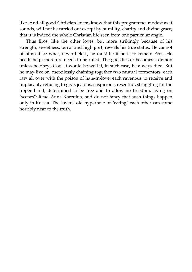like. And all good Christian lovers know that this programme; modest as it sounds, will not be carried out except by humility, charity and divine grace; that it is indeed the whole Christian life seen from one particular angle.

Thus Eros, like the other loves, but more strikingly because of his strength, sweetness, terror and high port, reveals his true status. He cannot of himself be what, nevertheless, he must be if he is to remain Eros. He needs help; therefore needs to be ruled. The god dies or becomes a demon unless he obeys God. It would be well if, in such case, he always died. But he may live on, mercilessly chaining together two mutual tormentors, each raw all over with the poison of hate-in-love; each ravenous to receive and implacably refusing to give, jealous, suspicious, resentful, struggling for the upper hand, determined to be free and to allow no freedom, living on "scenes": Read Anna Karenina, and do not fancy that such things happen only in Russia. The lovers' old hyperbole of "eating" each other can come horribly near to the truth.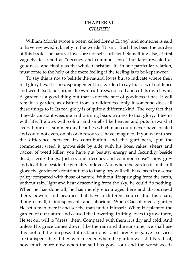## CHAPTER VI **CHARITY**

William Morris wrote a poem called Love is Enough and someone is said to have reviewed it briefly in the words "It isn't". Such has been the burden of this book. The natural loves are not self-sufficient. Something else, at first vaguely described as "decency and common sense" but later revealed as goodness, and finally as the whole Christian life in one particular relation, must come to the help of the mere feeling if the feeling is to be kept sweet.

To say this is not to belittle the natural loves but to indicate where their real glory lies. It is no disparagement to a garden to say that it will not fence and weed itself, nor prune its own fruit trees, nor roll and cut its own lawns. A garden is a good thing but that is not the sort of goodness it has. It will remain a garden, as distinct from a wilderness, only if someone does all these things to it. Its real glory is of quite a different kind. The very fact that it needs constant weeding and pruning bears witness to that glory. It teems with life. It glows with colour and smells like heaven and puts forward at every hour of a summer day beauties which man could never have created and could not even, on his own resources, have imagined. If you want to see the difference between its contribution and the gardener's, put the commonest weed it grows side by side with his hoes, rakes, shears and packet of weed killer; you have put beauty, energy and fecundity beside dead, sterile things. Just so, our "decency and common sense" show grey and deathlike beside the geniality of love. And when the garden is in its full glory the gardener's contributions to that glory will still have been in a sense paltry compared with those of nature. Without life springing from the earth, without rain, light and heat descending from the sky, he could do nothing. When he has done all, he has merely encouraged here and discouraged there, powers and beauties that have a different source. But his share, though small, is indispensable and laborious. When Gad planted a garden He set a man over it and set the man under Himself. When He planted the garden of our nature and caused the flowering, fruiting loves to grow there, He set our will to "dress" them. Compared with them it is dry and cold. And unless His grace comes down, like the rain and the sunshine, we shall use this tool to little purpose. But its laborious - and largely negative - services are indispensable. If they were needed when the garden was still Paradisal, how much more now when the soil has gone sour and the worst weeds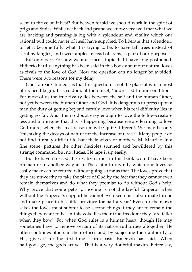seem to thrive on it best? But heaven forbid we should work in the spirit of prigs and Stoics. While we hack and prune we know very well that what we are hacking and pruning is big with a splendour and vitality which our rational will could never of itself have supplied. To liberate that splendour, to let it become fully what it is trying to be, to have tall trees instead of scrubby tangles, and sweet apples instead of crabs, is part of our purpose.

But only part. For now we must face a topic that I have long postponed. Hitherto hardly anything has been said in this book about our natural loves as rivals to the love of God. Now the question can no longer be avoided. There were two reasons for my delay.

One - already hinted - is that this question is not the place at which most of us need begin. It is seldom, at the outset, "addressed to our condition". For most of us the true rivalry lies between the self and the human Other, not yet between the human Other and God. It is dangerous to press upon a man the duty of getting beyond earthly love when his real difficulty lies in getting so far. And it is no doubt easy enough to love the fellow-creature less and to imagine that this is happening because we are learning to love God more, when the real reason may be quite different. We may be only "mistaking the decays of nature for the increase of Grace". Many people do not find it really difficult to hate their wives or mothers. M. Mauriac, in a fine scene, pictures the other disciples stunned and bewildered by this strange command, but not Judas. He laps it up easily.

But to have stressed the rivalry earlier in this book would have been premature in another way also. The claim to divinity which our loves so easily make can be refuted without going so far as that. The loves prove that they are unworthy to take the place of God by the fact that they cannot even remain themselves and do what they promise to do without God's help. Why prove that some petty princeling is not the lawful Emperor when without the Emperor's support he cannot even keep his subordinate throne and make peace in his little province for half a year? Even for their own sakes the loves must submit to be second things if they are to remain the things they want to be. In this yoke lies their true freedom; they "are taller when they bow". For when God rules in a human heart, though He may sometimes have to remove certain of its native authorities altogether, He often continues others in their offices and, by subjecting their authority to His, gives it for the first time a firm basis. Emerson has said, "When half-gods go, the gods arrive." That is a very doubtful maxim. Better say,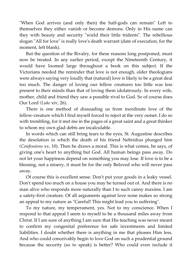"When God arrives (and only then) the half-gods can remain" Left to themselves they either vanish or become demons. Only in His name can they with beauty and security "wield their little tridents". The rebellious slogan "All for love" is really love's death warrant (date of execution, for the moment, left blank).

But the question of the Rivalry, for these reasons long postponed, must now be treated. In any earlier period, except the Nineteenth Century, it would have loomed large throughout a book on this subject. If the Victorians needed the reminder that love is not enough, older theologians were always saying very loudly that (natural) love is likely to be a great deal too much. The danger of loving our fellow creatures too little was less present to their minds than that of loving them idolatrously. In every wife, mother, child and friend they saw a possible rival to God. So of course does Our Lord (Luke xiv, 26).

There is one method of dissuading us from inordinate love of the fellow-creature which I find myself forced to reject at the very outset. I do so with trembling, for it met me in the pages of a great saint and a great thinker to whom my own glad debts are incalculable.

In words which can still bring tears to the eyes, St. Augustine describes the desolation in which the death of his friend Nebridius plunged him (Confessions xv, 10). Then he draws a moral. This is what comes, he says, of giving one's heart to anything but God. All human beings pass away. Do not let your happiness depend on something you may lose. If love is to be a blessing, not a misery, it must be for the only Beloved who will never pass away.

Of course this is excellent sense. Don't put your goods in a leaky vessel. Don't spend too much on a house you may he turned out of. And there is no man alive who responds more naturally than I to such canny maxims. I am a safety-first creature. Of all arguments against love none makes so strong an appeal to my nature as "Careful! This might lead you to suffering".

To my nature, my temperament, yes. Not to my conscience. When I respond to that appeal I seem to myself to be a thousand miles away from Christ. If I am sure of anything I am sure that His teaching was never meant to confirm my congenital preference for safe investments and limited liabilities. I doubt whether there is anything in me that pleases Him less. And who could conceivably begin to love God on such a prudential ground because the security (so to speak) is better? Who could even include it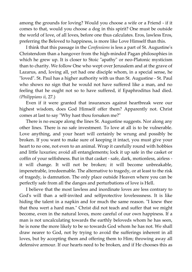among the grounds for loving? Would you choose a wife or a Friend - if it comes to that, would you choose a dog in this spirit? One must be outside the world of love, of all loves, before one thus calculates. Eros, lawless Eros, preferring the Beloved to happiness, is more like Love Himself than this.

I think that this passage in the Confessions is less a part of St. Augustine's Christendom than a hangover from the high-minded Pagan philosophies in which he grew up. It is closer to Stoic "apathy" or neo-Platonic mysticism than to charity. We follow One who wept over Jerusalem and at the grave of Lazarus, and, loving all, yet had one disciple whom, in a special sense, he "loved". St. Paul has a higher authority with us than St. Augustine - St. Paul who shows no sign that he would not have suffered like a man, and no feeling that he ought not so to have suffered, if Epaphroditus had died. (Philippians ii, 27.)

Even if it were granted that insurances against heartbreak were our highest wisdom, does God Himself offer them? Apparently not. Christ comes at last to say "Why hast thou forsaken me?"

There is no escape along the lines St. Augustine suggests. Nor along any other lines. There is no safe investment. To love at all is to be vulnerable. Love anything, and your heart will certainly be wrung and possibly be broken. If you want to make sure of keeping it intact, you must give your heart to no one, not even to an animal. Wrap it carefully round with hobbies and little luxuries; avoid all entanglements; lock it up safe in the casket or coffin of your selfishness. But in that casket - safe, dark, motionless, airless it will change. It will not be broken; it will become unbreakable, impenetrable, irredeemable. The alternative to tragedy, or at least to the risk of tragedy, is damnation. The only place outside Heaven where you can be perfectly safe from all the danges and perturbations of love is Hell.

I believe that the most lawless and inordinate loves are less contrary to God's will than a self-invited and selfprotective lovelesssness. It is like hiding the talent in a napkin and for much the same reason. "I knew thee that thou wert a hard man." Christ did not teach and suffer that we might become, even in the natural loves, more careful of our own happiness. If a man is not uncalculating towards the earthly beloveds whom he has seen, he is none the more likely to be so towards God whom he has not. We shall draw nearer to God, not by trying to avoid the sufferings inherent in all loves, but by accepting them and offering them to Him; throwing away all defensive armour. If our hearts need to be broken, and if He chooses this as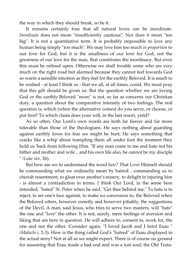the way in which they should break, so be it.

It remains certainly true that all natural loves can be inordinate. Inordinate does not mean "insufficiently cautious". Nor does it mean "too big". It is not a quantitative term. It is probably impossible to love any human being simply "too much". We may love him too much in proportion to our love for God; but it is the smallness of our love for God, not the greatness of our love for the man, that constitutes the inordinacy. But even this must be refined upon. Otherwise we shall trouble some who are very much on the right road but alarmed because they cannot feel towards God so warm a sensible emotion as they feel for the earthly Beloved. It is much to be wished - at least I think so - that we all, at all times, could. We must pray that this gift should be given us. But the question whether we are loving God or the earthly Beloved "more" is not, so far as concerns our Christian duty, a question about the comparative intensity of two feelings. The real question is, which (when the alternative comes) do you serve, or choose, or put first? To which claim does your will, in the last resort, yield?

As so often, Our Lord's own words are both far fiercer and far more tolerable than those of the theologians. He says nothing about guarding against earthly loves for fear we might be hurt; He says something that cracks like a whip about trampling them all under foot the moment they hold us 'back from following Him. "If any man come to me and hate not his father and mother and wife... and his own life also, he cannot be my disciple " (Luke xiv, 26).

But how are we to understand the word hate? That Love Himself should be commanding what we ordinarily mean by hatred - commanding us to cherish resentment, to gloat over another's misery, to delight in injuring him - is almost a contradiction in terms. I think Our Lord, in the sense here intended, "hated" St. Peter when he said, "Get thee behind me." To hate is to reject, to set one's face against, to make no concession to, the Beloved when the Beloved utters, however sweetly and however pitiably, the suggestions of the Devil. A man, said Jesus, who tries to serve two masters, will "hate" the one and "love" the other. It is not, surely, mere feelings of aversion and liking that are here in question. He will adhere to, consent to, work for, the one and not the other. Consider again, "I loved Jacob and I hated Esau " (Malachi i, 2-3). How is the thing called God's "hatred" of Esau displayed in the actual story? Not at all as we might expect. There is of course no ground for assuming that Esau made a bad end and was a lost soul; the Old Testa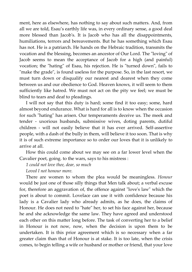ment, here as elsewhere, has nothing to say about such matters. And, from all we are told, Esau's earthly life was, in every ordinary sense, a good deal more blessed than Jacob's. It is Jacob who has all the disappointments, humiliations, terrors and bereavements. But he has something which Esau has not. He is a patriarch. He hands on the Hebraic tradition, transmits the vocation and the blessing, becomes an ancestor of Our Lord. The "loving" of Jacob seems to mean the acceptance of Jacob for a high (and painful) vocation; the "hating" of Esau, his rejection. He is "turned down", fails to "make the grade", is found useless for the purpose. So, in the last resort, we must turn down or disqualify our nearest and dearest when they come between us and our obedience to God. Heaven knows, it will seem to them sufficiently like hatred. We must not act on the pity we feel; we must be blind to tears and deaf to pleadings.

I will not say that this duty is hard; some find it too easy; some, hard almost beyond endurance. What is hard for all is to know when the occasion for such "hating" has arisen. Our temperaments deceive us. The meek and tender - uxorious husbands, submissive wives, doting parents, dutiful children - will not easily believe that it has ever arrived. Self-assertive people, with a dash of the bully in them, will believe it too soon. That is why it is of such extreme importance so to order our loves that it is unlikely to arrive at all.

How this could come about we may see on a far lower level when the Cavalier poet, going. to the wars, says to his mistress :

1 could not love thee, dear, so much

Loved I not honour more.

There are women to whom the plea would be meaningless. Honour would be just one of those silly things that Men talk about; a verbal excuse for, therefore an aggravation of, the offence against "love's law" which the poet is about to commit. Lovelace can use it with confidence because his lady is a Cavalier lady who already admits, as he does, the claims of Honour. He does not need to "hate" her, to set his face against her, because he and she acknowledge the same law. They have agreed and understood each other on this matter long before. The task of converting her to a belief in Honour is not now, now, when the decision is upon them to be undertaken. It is this prior agreement which is so necessary when a far greater claim than that of Honour is at stake. It is too late, when the crisis comes, to begin telling a wife or husband or mother or friend, that your love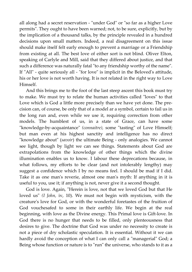all along had a secret reservation - "under God" or "so far as a higher Love permits". They ought to have been warned; not, to be sure, explicitly, but by the implication of a thousand talks, by the principle revealed in a hundred decisions upon small matters. Indeed, a real disagreement on this issue should make itself felt early enough to prevent a marriage or a Friendship from existing at all. The best love of either sort is not blind. Oliver Elton, speaking of Carlyle and Mill, said that they differed about justice, and that such a difference was naturally fatal "to any friendship worthy of the name". If "All" - quite seriously all - "for love" is implicit in the Beloved's attitude, his or her love is not worth having. It is not related in the right way to Love Himself.

And this brings me to the foot of the last steep ascent this book must try to make. We must try to relate the human activities called "loves" to that Love which is God a little more precisely than we have yet done. The precision can, of course, be only that of a model ar a symbol, certain to fail us in the long run and, even while we use it, requiring correction from other models. The humblest of us, in a state of Grace, can have some "knowledge-by-acquaintance" (connaitre), some "tasting" of Love Himself; but man even at his highest sanctity and intelligence has no direct "knowledge about" (savoir) the ultimate Being - only analogies. We cannot see light, though by light we can see things. Statements about God are extrapolations from the knowledge of other things which the divine illumination enables us to know. I labour these deprecations because, in what follows, my efforts to be clear (and not intolerably lengthy) may suggest a confidence which I by no means feel. I should be mad if I did. Take it as one man's reverie, almost one man's myth: If anything in it is useful to you, use it; if anything is not, never give it a second thought.

God is love. Again, "Herein is love, not that we loved God but that He loved us" (I John, iv, 10). We must not begin with mysticism, with the creature's love for God, or with the wonderful foretastes of the fruition of God vouchesafed to some in their earthly life. We begin at the real beginning, with love as the Divine energy. This Primal love is Gift-love. In God there is no hunger that needs to be filled, only plenteousness that desires to give. The doctrine that God was under no necessity to create is not a piece of dry scholastic speculation. It is essential. Without it we can hardly avoid the conception of what I can only call a "managerial" God; a Being whose function or nature is to "run" the universe, who stands to it as a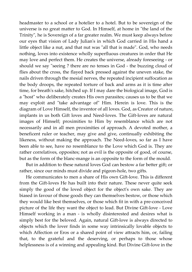headmaster to a school or a hotelier to a hotel. But to be sovereign of the universe is no great matter to God. In Himself, at home in "the land of the Trinity", he is Sovereign of a far greater realm. We must keep always before our eyes that vision of Lady Julian's in which God carried in His hand a little object like a nut, and that nut was "all that is made". God, who needs nothing, loves into existence wholly superfluous creatures in order that He may love and perfect them. He creates the universe, already foreseeing - or should we say "seeing ? there are no tenses in God - the buzzing cloud of flies about the cross, the flayed back pressed against the uneven stake, the nails driven through the mesial nerves, the repeated incipient suffocation as the body droops, the repeated torture of back and arms as it is time after time, for breath's sake, hitched up. If I may dare the biological image, God is a "host" who deliberately creates His own parasites; causes us to be that we may exploit and "take advantage of" Him. Herein is love. This is the diagram of Love Himself, the inventor of all loves. God, as Creator of nature, implants in us both Gift loves and Need-loves. The Gift-loves are natural images of Himself; proximities to Him by resemblance which are not necessarily and in all men proximities of approach. A devoted mother, a beneficent ruler or teacher, may give and give, continually exhibiting the likeness, without making the approach. The Need-loves, so far as I have been able to see, have no resemblance to the Love which God is. They are rather correlatives, opposites; not as evil is the opposite of good, of course, but as the form of the blanc-mange is an opposite to the form of the mould.

But in addition to these natural loves God can bestow a far better gift; or rather, since our minds must divide and pigeon-hole, two gifts.

He communicates to men a share of His own Gift-love. This is different from the Gift-loves He has built into their nature. These never quite seek simply the good of the loved object for the object's own sake. They are biased in favour of those goods they can themselves bestow, or those which they would like best themselves, or those which fit in with a pre-conceived picture of the life they want the object to lead. But Divine Gift-love - Love Himself working in a man - is wholly disinterested and desires what is simply best for the beloved. Again, natural Gift-love is always directed to objects which the lover finds in some way intrinsically lovable objects to which Affection or Eros or a shared point of view attracts him, or, failing that, to the grateful and the deserving, or perhaps to those whose helplessness is of a winning and appealing kind. But Divine Gift-love in the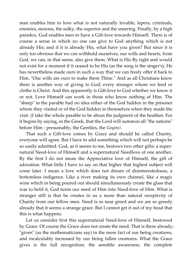man enables him to love what is not naturally lovable; lepers, criminals, enemies, morons, the sulky, the superior and the sneering. Finally, by a high paradox, God enables men to have a Gift-love towards Himself. There is of course a sense in which no one can give to God anything which is not already His; and if it is already His, what have you given? But since it is only too obvious that we can withhold ourselves, our wills and hearts, from God, we can, in that sense, also give them. What is His By right and would not exist for a moment if it ceased to be His (as the song is the singer's), He has nevertheless made ours in such a way that we can freely offer it back to Him. "Our wills are ours to make them Thine." And as all Christians know there is another way of giving to God; every stranger whom we feed or clothe is Christ. And this apparently is Gift-love to God whether we know it or not. Love Himself can work in those who know nothing of Him. The "sheep" in the parable had no idea either of the God hidden in the prisoner whom they visited or of the God hidden in themselves when they made the visit. (I take the whole parable to be about the judgment of the heathen. For it begins by saying, in the Greek, that the Lord will summon all "the nations" before Him - presumably, the Gentiles, the Goyim).

That such a Gift-love comes by Grace and should be called Charity, everyone will agree. But I have to add something which will not perhaps be so easily admitted. God, as it seems to me, bestows two other gifts; a supernatural Need-love of Himself and a supernatural Needlove of one another. By the first I do not mean the Appreciative love of Himself, the gift of adoration. What little I have to say on that higher that highest subject will come later. I mean a love which does not dream of disinterestedness, a bottomless indigence. Like a river making its own channel, like a magic wine which in being poured out should simultaneously create the glass that was to hold it, God turns our need of Him into Need-love of Him. What is stranger still is that he creates in us a more than natural receptivity of Charity from our fellow men. Need is so near greed and we are so greedy already that it seems a strange grace. But I cannot get it out of my head that this is what happens.

Let us consider first this supernatural Need-love of Himself, bestowed by Grace. Of course the Grace does not create the need. That is there already; "given" (as the mathematicians say) in the mere fact of our being creatures, and incalculably increased by our being fallen creatures. What the Grace gives is the full recognition, the sensible awareness, the complete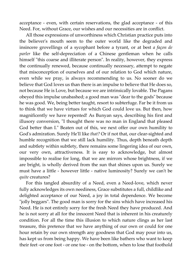acceptance - even, with certain reservations, the glad acceptance - of this Need. For, without Grace, our wishes and our necessities are in conflict.

All those expressions of unworthiness which Christian practice puts into the believer's mouth seem to the outer world like the degraded and insincere grovellings of a sycophant before a tyrant, or at best a façon de parler like the self-depreciation of a Chinese gentleman when he calls himself "this coarse and illiterate person". In reality, however, they express the continually renewed, because continually necessary, attempt to negate that misconception of ourselves and of our relation to God which nature, even while we pray, is always recommending to us. No sooner do we believe that God loves us than there is an impulse to believe that He does so, not because He is Love, but because we are intrinsically lovable. The Pagans obeyed this impulse unabashed; a good man was "dear to the gods" because he was good. We, being better taught, resort to subterfuge. Far be it from us to think that we have virtues for which God could love us. But then, how magnificently we have repented! As Bunyan says, describing his first and illusory conversion, "I thought there was no man in England that pleased God better than I." Beaten out of this, we next offer our own humility to God's admiration. Surely He'll like that? Or if not that, our clear-sighted and humble recognition that we still lack humility. Thus, depth beneath depth and subtlety within subtlety, there remains some lingering idea of our own, our very own, attractiveness. It is easy to acknowledge, but almost impossible to realise for long, that we are mirrors whose brightness, if we are bright, is wholly derived from the sun that shines upon us. Surely we must have a little - however little - native luminosity? Surely we can't be quite creatures?

For this tangled absurdity of a Need, even a Need-love, which never fully acknowledges its own neediness, Grace substitutes a full, childlike and delighted acceptance of our Need, a joy in total dependence. We become "jolly beggars". The good man is sorry for the sins which have increased his Need. He is not entirely sorry for the fresh Need they have produced. And he is not sorry at all for the innocent Need that is inherent in his creaturely condition. For all the time this illusion to which nature clings as her last treasure, this pretence that we have anything of our own or could for one hour retain by our own strength any goodness that God may pour into us, has kept us from being happy. We have been like bathers who want to keep their feet -or one foot - or one toe - on the bottom, when to lose that foothold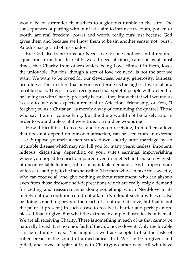would be to surrender themselves to a glorious tumble in the surf. The consequences of parting with our last claim to intrinsic freedom, power, or worth, are real freedom, power and worth, really ours just because God gives them and because we know them to be (in another sense) not "ours". Anodos has got rid of his shadow.

But God also transforms our Need-love for one another, and it requires equal transformation. In reality we all need at times, same of us at most times, that Charity from others which, being Love Himself in them, loves the unlovable. But this, though a sort of love we need, is not the sort we want. We want to be loved for our cleverness, beauty, generosity; fairness, usefulness. The first hint that anyone is offering us the highest love of all is a terrible shock. This is so well recognised that spiteful people will pretend to be loving us with Charity precisely because they know that it will wound us. To say to one who expects a renewal of Affection, Friendship, or Eros, "I forgive you as a Christian" is merely a way of continuing the quarrel. Those who say it are of course lying. But the thing would not be falsely said in order to wound unless, if it were true, it would be wounding.

How difficult it is to receive, and to go on receiving, from others a love that does not depend on our own attraction, can be seen from an extreme case. Suppose yourself a man struck down shortly after marriage by an incurable disease which may not kill you for many years; useless, impotent, hideous, disgusting; depending on your wife's earnings; impoverishing where you hoped to enrich; impaired even in intellect and shaken by gusts of uncontrollable temper, full of unavoidable demands. And suppose your wife's care and pity to he inexhaustible. The man who can take this sweetly, who can receive all and give nothing without resentment, who can abstain even from those tiresome self-deprecations which are really only a demand for petting and reassurance, is doing something which Need-love in its merely natural condition could not attain. (No doubt such a wife will also be doing something beyond the reach of a natural Gift-love, but that is not the point at present.) In such a case to receive is harder and perhaps more blessed than to give. But what the extreme example illustrates is universal. We are all receiving Charity. There is something in each of us that cannot be naturally loved. It is no one's fault if they do not so love it. Only the lovable can he naturally loved. You might as well ask people to like the taste of rotten bread or the sound of a mechanical drill. We can be forgiven, and pitied, and loved in spite of it, with Charity; no other way. All who have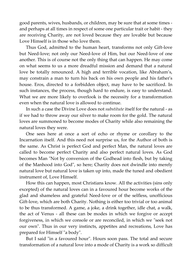good parents, wives, husbands, or children, may be sure that at some times and perhaps at all times in respect of some one particular trait or habit - they are receiving Charity, are not loved because they are lovable but because Love Himself is in those who love them.

Thus God, admitted to the human heart, transforms not only Gift-love but Need-love; not only our Need-love of Him, but our Need-love of one another. This is of course not the only thing that can happen. He may come on what seems to us a more dreadful mission and demand that a natural love be totally renounced. A high and terrible vocation, like Abraham's, may constrain a man to turn his back on his own people and his father's house. Eros, directed to a forbidden object, may have to be sacrificed. In such instances, the process, though hard to endure, is easy to understand. What we are more likely to overlook is the necessity for a transformation even when the natural love is allowed to continue.

In such a case the Divine Love does not substitute itself for the natural - as if we had to throw away our silver to make room for the gold. The natural loves are summoned to become modes of Charity while also remaining the natural loves they were.

One sees here at once a sort of echo or rhyme or corollary to the Incarnation itself. And this need not surprise us, for the Author of both is the same. As Christ is perfect God and perfect Man, the natural loves are called to become perfect Charity and also perfect natural loves. As God becomes Man "Not by conversion of the Godhead into flesh, but by taking of the Manhood into God", so here; Charity does not dwindle into merely natural love but natural love is taken up into, made the tuned and obedient instrument of, Love Himself.

How this can happen, most Christians know. All the activities (sins only excepted) of the natural loves can in a favoured hour become works of the glad and shameless and grateful Need-love or of the selfless, unofficious Gift-love, which are both Charity. Nothing is either too trivial or too animal to be thus transformed. A game, a joke, a drink together, idle chat, a walk, the act of Venus - all these can be modes in which we forgive or accept forgiveness, in which we console or are reconciled, in which we "seek not our own". Thus in our very instincts, appetites and recreations, Love has prepared for Himself "a body".

But I said "in a favoured hour". Hours soon pass. The total and secure transformation of a natural love into a mode of Charity is a work so difficult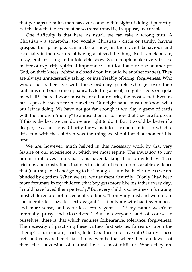that perhaps no fallen man has ever come within sight of doing it perfectly. Yet the law that loves must be so transformed is, I suppose, inexorable.

One difficulty is that here, as usual, we can take a wrong turn. A Christian - a somewhat too vocally Christian - circle or family, having grasped this principle, can make a show, in their overt behaviour and especially in their words, of having achieved the thing itself - an elaborate, fussy, embarrassing and intolerable show. Such people make every trifle a matter of explicitly spiritual importance - out loud and to one another (to God, on their knees, behind a closed door, it would be another matter). They are always unnecessarily asking, or insufferably offering, forgiveness. Who would not rather live with those ordinary people who get over their tantrums (and ours) unemphatically, letting a meal, a night's sleep, or a joke mend all? The real work must be, of all our works, the most secret. Even as far as possible secret from ourselves. Our right hand must not know what our left is doing. We have not got far enough if we play a game of cards with the children "merely" to amuse them or to show that they are forgiven. If this is the best we can do we are right to do it. But it would be better if a deeper, less conscious, Charity threw us into a frame of mind in which a little fun with the children was the thing we should at that moment like best.

We are, however, much helped in this necessary work by that very feature of our experience at which we most repine. The invitation to turn our natural loves into Charity is never lacking. It is provided by those frictions and frustrations that meet us in all of them; unmistakable evidence that (natural) love is not going to be "enough" - unmistakable, unless we are blinded by egotism. When we are, we use them absurdly. "If only I had been more fortunate in my children (that boy gets more like his father every day) I could have loved them perfectly." But every child is sometimes infuriating; most children are not infrequently odious. "If only my husband were more considerate, less lazy, less extravagant "... "If only my wife had fewer moods and more sense, and were less extravagant "... "If my father wasn't so infernally prosy and close-fisted." But in everyone, and of course in ourselves, there is that which requires forbearance, tolerance, forgiveness. The necessity of practising these virtues first sets us, forces us, upon the attempt to turn - more, strictly, to let God turn - our love into Charity. These frets and rubs are beneficial. It may even be that where there are fewest of them the conversion of natural love is most difficult. When they are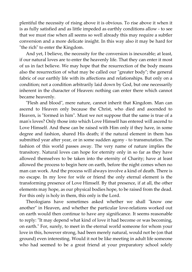plentiful the necessity of rising above it is obvious. To rise above it when it is as fully satisfied and as little impeded as earthly conditions allow - to see that we must rise when all seems so well already this may require a subtler conversion and a more delicate insight. In this way also it may be hard for "the rich" to enter the Kingdom.

And yet, I believe, the necessity for the conversion is inexorable; at least, if our natural loves are to enter the heavenly life. That they can enter it most of us in fact believe. We may hope that the resurrection of the body means also the resurrection of what may be called our "greater body"; the general fabric of our earthly life with its affections and relationships. But only on a condition; not a condition arbitrarily laid down by God, but one necessarily inherent in the character of Heaven: nothing can enter there which cannot became heavenly.

"Flesh and blood", mere nature, cannot inherit that Kingdom. Man can ascend to Heaven only because the Christ, who died and ascended to Heaven, is "formed in him". Must we not suppose that the same is true of a man's loves? Only those into which Love Himself has entered will ascend to Love Himself. And these can be raised with Him only if they have, in some degree and fashion, shared His death; if the natural element in them has submitted year after year, or in some sudden agony - to transmutation. The fashion of this world passes away. The very name of nature implies the transitory. Natural loves can hope for eternity only in so far as they have allowed themselves to be taken into the eternity of Charity; have at least allowed the process to begin here on earth, before the night comes when no man can work. And the process will always involve a kind of death. There is no escape. In my love for wife or friend the only eternal element is the transforming presence of Love Himself. By that presence, if at all, the other elements may hope, as our physical bodies hope, to be raised from the dead. For this only is holy in them, this only is the Lord.

Theologians have sometimes asked whether we shall "know one another" in Heaven, and whether the particular love-relations worked out on earth would then continue to have any significance. It seems reasonable to reply: "It may depend what kind of love it had become or was becoming, on earth." For, surely, to meet in the eternal world someone for whom your love in this, however strong, had been merely natural, would not be (on that ground) even interesting. Would it not be like meeting in adult life someone who had seemed to be a great friend at your preparatory school solely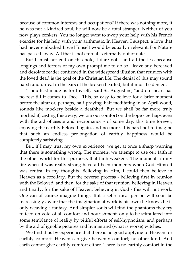because of common interests and occupations? If there was nothing more, if he was not a kindred soul, he will now be a total stranger. Neither of you now plays conkers. You no longer want to swop your help with his French exercise for his help with your arithmetic. In Heaven, I suspect, a love that had never embodied Love Himself would be equally irrelevant. For Nature has passed away. All that is not eternal is eternally out of date.

But I must not end on this note, I dare not - and all the less because longings and terrors of my own prompt me to do so - leave any bereaved and desolate reader confirmed in the widespread illusion that reunion with the loved dead is the goal of the Christian life. The denial of this may sound harsh and unreal in the ears of the broken hearted, but it must be denied.

"Thou hast made us for thyself," said St. Augustine, "and our heart has no rest till it comes to Thee." This, so easy to believe for a brief moment before the altar or, perhaps, half-praying, half-meditating in an April wood, sounds like mockery beside a deathbed. But we shall be far more truly mocked if, casting this away, we pin our comfort on the hope - perhaps even with the aid of seance and necromancy - of some day, this time forever, enjoying the earthly Beloved again, and no more. It is hard not to imagine that such an endless prolongation of earthly happiness would be completely satisfying.

But, if I may trust my own experience, we get at once a sharp warning that there is something wrong. The moment we attempt to use our faith in the other world for this purpose, that faith weakens. The moments in my life when it was really strong have all been moments when God Himself was central in my thoughts. Believing in Him, I could then believe in Heaven as a corollary. But the reverse process - believing first in reunion with the Beloved, and then, for the sake of that reunion, believing in Heaven, and finally, for the sake of Heaven, believing in God - this will not work. One can of course imagine things. But a self-critical person will soon be increasingly aware that the imagination at work is his own; he knows he is only weaving a fantasy. And simpler souls will find the phantoms they try to feed on void of all comfort and nourishment, only to be stimulated into some semblance of reality by pitiful efforts of self-hypnotism, and perhaps by the aid of ignoble pictures and hymns and (what is worse) witches.

We find thus by experience that there is no good applying to Heaven for earthly comfort. Heaven can give heavenly comfort; no other kind. And earth cannot give earthly comfort either. There is no earthly comfort in the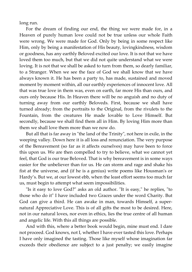long run.

For the dream of finding our end, the thing we were made for, in a Heaven of purely human love could not be true unless our whole Faith were wrong. We were made for God. Only by being in some respect like Him, only by being a manifestation of His beauty, lovingkindness, wisdom or goodness, has any earthly Beloved excited our love. It is not that we have loved them too much, but that we did not quite understand what we were loving. It is not that we shall be asked to turn from them, so dearly familiar, to a Stranger. When we see the face of God we shall know that we have always known it. He has been a party to, has made, sustained and moved moment by moment within, all our earthly experiences of innocent love. All that was true love in them was, even on earth, far more His than ours, and ours only because His. In Heaven there will be no anguish and no duty of turning away from our earthly Beloveds. First, because we shall have turned already; from the portraits to the Original, from the rivulets to the Fountain, from the creatures He made lovable to Love Himself. But secondly, because we shall find them all in Him. By loving Him more than them we shall love them more than we now do.

But all that is far away in "the land of the Trinity", not here in exile, in the weeping valley. Down here it is all loss and renunciation. The very purpose of the Bereavement (so far as it affects ourselves) may have been to force this upon us. We are then compelled to try to believe, what we cannot yet feel, that God is our true Beloved. That is why bereavement is in some ways easier for the unbeliever than for us. He can storm and rage and shake his fist at the universe, and (if he is a genius) write poems like Housman's or Hardy's. But we, at our lowest ebb, when the least effort seems too much far us, must begin to attempt what seem impossibilities.

"Is it easy to love God?" asks an old author. "It is easy," he replies, "to those who do it" I have included two Graces under the word Charity. But God can give a third. He can awake in man, towards Himself, a supernatural Appreciative Love. This is of all gifts the most to be desired. Here, not in our natural loves, nor even in ethics, lies the true centre of all human and angelic life. With this all things are possible.

And with this, where a better book would begin, mine must end. I dare not proceed. God knows, not I, whether I have ever tasted this love. Perhaps I have only imagined the tasting. Those like myself whose imagination far exceeds their obedience are subject to a just penalty; we easily imagine